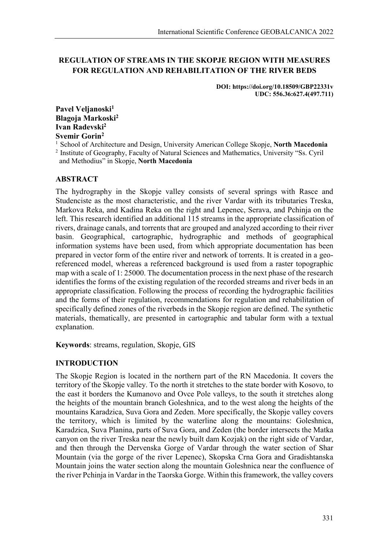# **REGULATION OF STREAMS IN THE SKOPJE REGION WITH MEASURES FOR REGULATION AND REHABILITATION OF THE RIVER BEDS**

**DOI: https://doi.org/10.18509/GBP22331v UDC: 556.36:627.4(497.711)**

Pavel Veljanoski<sup>1</sup> **Blagoja Markoski2 Ivan Radevski2 Svemir Gorin2**

1 School of Architecture and Design, University American College Skopje, **North Macedonia** <sup>2</sup> Institute of Geography, Faculty of Natural Sciences and Mathematics, University "Ss. Cyril and Methodius" in Skopje, **North Macedonia**

# **ABSTRACT**

The hydrography in the Skopje valley consists of several springs with Rasce and Studenciste as the most characteristic, and the river Vardar with its tributaries Treska, Markova Reka, and Kadina Reka on the right and Lepenec, Serava, and Pchinja on the left. This research identified an additional 115 streams in the appropriate classification of rivers, drainage canals, and torrents that are grouped and analyzed according to their river basin. Geographical, cartographic, hydrographic and methods of geographical information systems have been used, from which appropriate documentation has been prepared in vector form of the entire river and network of torrents. It is created in a georeferenced model, whereas a referenced background is used from a raster topographic map with a scale of 1: 25000. The documentation process in the next phase of the research identifies the forms of the existing regulation of the recorded streams and river beds in an appropriate classification. Following the process of recording the hydrographic facilities and the forms of their regulation, recommendations for regulation and rehabilitation of specifically defined zones of the riverbeds in the Skopje region are defined. The synthetic materials, thematically, are presented in cartographic and tabular form with a textual explanation.

**Keywords**: streams, regulation, Skopje, GIS

# **INTRODUCTION**

The Skopje Region is located in the northern part of the RN Macedonia. It covers the territory of the Skopje valley. To the north it stretches to the state border with Kosovo, to the east it borders the Kumanovo and Ovce Pole valleys, to the south it stretches along the heights of the mountain branch Goleshnica, and to the west along the heights of the mountains Karadzica, Suva Gora and Zeden. More specifically, the Skopje valley covers the territory, which is limited by the waterline along the mountains: Goleshnica, Karadzica, Suva Planina, parts of Suva Gora, and Zeden (the border intersects the Matka canyon on the river Treska near the newly built dam Kozjak) on the right side of Vardar, and then through the Dervenska Gorge of Vardar through the water section of Shar Mountain (via the gorge of the river Lepenec), Skopska Crna Gora and Gradishtanska Mountain joins the water section along the mountain Goleshnica near the confluence of the river Pchinja in Vardar in the Taorska Gorge. Within this framework, the valley covers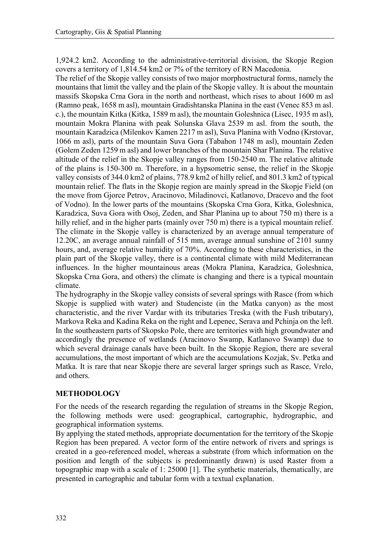1,924.2 km2. According to the administrative-territorial division, the Skopje Region covers a territory of 1,814.54 km2 or 7% of the territory of RN Macedonia.

The relief of the Skopje valley consists of two major morphostructural forms, namely the mountains that limit the valley and the plain of the Skopje valley. It is about the mountain massifs Skopska Crna Gora in the north and northeast, which rises to about 1600 m asl (Ramno peak, 1658 m asl), mountain Gradishtanska Planina in the east (Venec 853 m asl. c.), the mountain Kitka (Kitka, 1589 m asl), the mountain Goleshnica (Lisec, 1935 m asl), mountain Mokra Planina with peak Solunska Glava 2539 m asl. from the south, the mountain Karadzica (Milenkov Kamen 2217 m asl), Suva Planina with Vodno (Krstovar, 1066 m asl), parts of the mountain Suva Gora (Tabahon 1748 m asl), mountain Zeden (Golem Zeden 1259 m asl) and lower branches of the mountain Shar Planina. The relative altitude of the relief in the Skopje valley ranges from 150-2540 m. The relative altitude of the plains is 150-300 m. Therefore, in a hypsometric sense, the relief in the Skopje valley consists of 344.0 km2 of plains, 778.9 km2 of hilly relief, and 801.3 km2 of typical mountain relief. The flats in the Skopje region are mainly spread in the Skopje Field (on the move from Gjorce Petrov, Aracinovo, Miladinovci, Katlanovo, Dracevo and the foot of Vodno). In the lower parts of the mountains (Skopska Crna Gora, Kitka, Goleshnica, Karadzica, Suva Gora with Osoj, Zeden, and Shar Planina up to about 750 m) there is a hilly relief, and in the higher parts (mainly over 750 m) there is a typical mountain relief. The climate in the Skopje valley is characterized by an average annual temperature of 12.20C, an average annual rainfall of 515 mm, average annual sunshine of 2101 sunny hours, and, average relative humidity of 70%. According to these characteristics, in the plain part of the Skopje valley, there is a continental climate with mild Mediterranean influences. In the higher mountainous areas (Mokra Planina, Karadzica, Goleshnica, Skopska Crna Gora, and others) the climate is changing and there is a typical mountain climate.

The hydrography in the Skopje valley consists of several springs with Rasce (from which Skopje is supplied with water) and Studenciste (in the Matka canyon) as the most characteristic, and the river Vardar with its tributaries Treska (with the Fush tributary), Markova Reka and Kadina Reka on the right and Lepenec, Serava and Pchinja on the left. In the southeastern parts of Skopsko Pole, there are territories with high groundwater and accordingly the presence of wetlands (Aracinovo Swamp, Katlanovo Swamp) due to which several drainage canals have been built. In the Skopje Region, there are several accumulations, the most important of which are the accumulations Kozjak, Sv. Petka and Matka. It is rare that near Skopje there are several larger springs such as Rasce, Vrelo, and others.

# **METHODOLOGY**

For the needs of the research regarding the regulation of streams in the Skopje Region, the following methods were used: geographical, cartographic, hydrographic, and geographical information systems.

By applying the stated methods, appropriate documentation for the territory of the Skopje Region has been prepared. A vector form of the entire network of rivers and springs is created in a geo-referenced model, whereas a substrate (from which information on the position and length of the subjects is predominantly drawn) is used Raster from a topographic map with a scale of 1: 25000 [1]. The synthetic materials, thematically, are presented in cartographic and tabular form with a textual explanation.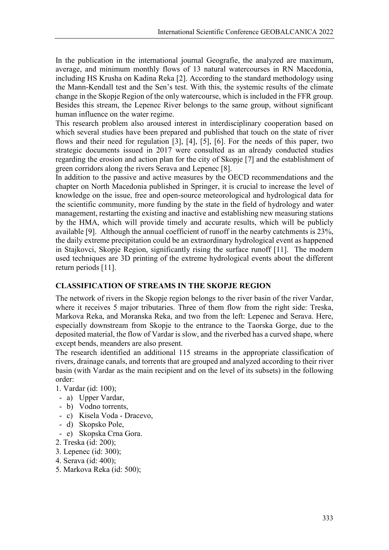In the publication in the international journal Geografie, the analyzed are maximum, average, and minimum monthly flows of 13 natural watercourses in RN Macedonia, including HS Krusha on Kadina Reka [2]. According to the standard methodology using the Mann-Kendall test and the Sen's test. With this, the systemic results of the climate change in the Skopje Region of the only watercourse, which is included in the FFR group. Besides this stream, the Lepenec River belongs to the same group, without significant human influence on the water regime.

This research problem also aroused interest in interdisciplinary cooperation based on which several studies have been prepared and published that touch on the state of river flows and their need for regulation [3], [4], [5], [6]. For the needs of this paper, two strategic documents issued in 2017 were consulted as an already conducted studies regarding the erosion and action plan for the city of Skopje [7] and the establishment of green corridors along the rivers Serava and Lepenec [8].

In addition to the passive and active measures by the OECD recommendations and the chapter on North Macedonia published in Springer, it is crucial to increase the level of knowledge on the issue, free and open-source meteorological and hydrological data for the scientific community, more funding by the state in the field of hydrology and water management, restarting the existing and inactive and establishing new measuring stations by the HMA, which will provide timely and accurate results, which will be publicly available [9]. Although the annual coefficient of runoff in the nearby catchments is 23%, the daily extreme precipitation could be an extraordinary hydrological event as happened in Stajkovci, Skopje Region, significantly rising the surface runoff [11]. The modern used techniques are 3D printing of the extreme hydrological events about the different return periods [11].

# **CLASSIFICATION OF STREAMS IN THE SKOPJE REGION**

The network of rivers in the Skopje region belongs to the river basin of the river Vardar, where it receives 5 major tributaries. Three of them flow from the right side: Treska, Markova Reka, and Moranska Reka, and two from the left: Lepenec and Serava. Here, especially downstream from Skopje to the entrance to the Taorska Gorge, due to the deposited material, the flow of Vardar is slow, and the riverbed has a curved shape, where except bends, meanders are also present.

The research identified an additional 115 streams in the appropriate classification of rivers, drainage canals, and torrents that are grouped and analyzed according to their river basin (with Vardar as the main recipient and on the level of its subsets) in the following order:

1. Vardar (id: 100);

- a) Upper Vardar,
- b) Vodno torrents,
- c) Kisela Voda Dracevo,
- d) Skopsko Pole,
- e) Skopska Crna Gora.
- 2. Treska (id: 200);
- 3. Lepenec (id: 300);
- 4. Serava (id: 400);
- 5. Markova Reka (id: 500);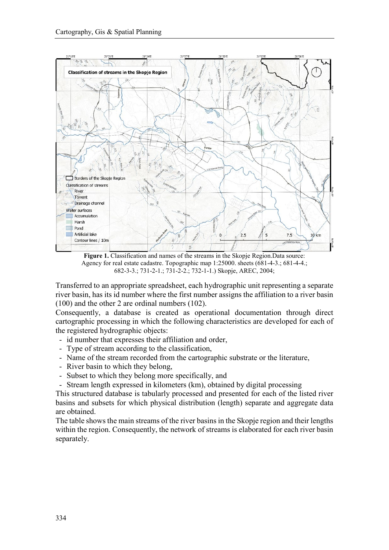

Figure 1. Classification and names of the streams in the Skopje Region.Data source: Agency for real estate cadastre. Topographic map 1:25000. sheets (681-4-3.; 681-4-4.; 682-3-3.; 731-2-1.; 731-2-2.; 732-1-1.) Skopje, AREC, 2004;

Transferred to an appropriate spreadsheet, each hydrographic unit representing a separate river basin, has its id number where the first number assigns the affiliation to a river basin (100) and the other 2 are ordinal numbers (102).

Consequently, a database is created as operational documentation through direct cartographic processing in which the following characteristics are developed for each of the registered hydrographic objects:

- id number that expresses their affiliation and order,
- Type of stream according to the classification,
- Name of the stream recorded from the cartographic substrate or the literature,
- River basin to which they belong,
- Subset to which they belong more specifically, and
- Stream length expressed in kilometers (km), obtained by digital processing

This structured database is tabularly processed and presented for each of the listed river basins and subsets for which physical distribution (length) separate and aggregate data are obtained.

The table shows the main streams of the river basins in the Skopje region and their lengths within the region. Consequently, the network of streams is elaborated for each river basin separately.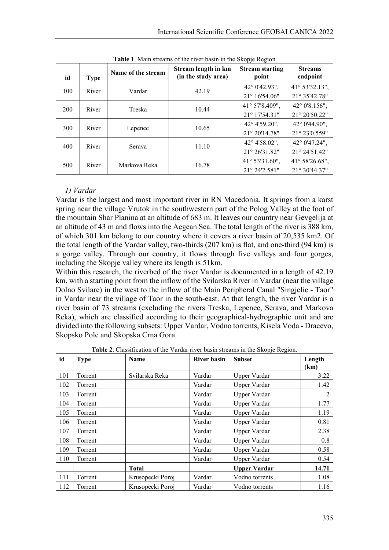| id  | <b>Type</b> | Name of the stream | Stream length in km<br>(in the study area) | $\cdot$<br><b>Stream starting</b><br>point | <b>Streams</b><br>endpoint      |
|-----|-------------|--------------------|--------------------------------------------|--------------------------------------------|---------------------------------|
| 100 | River       | Vardar             | 42.19                                      | 42° 0'42.93",<br>$21^{\circ} 16'54.06"$    | 41° 53'32.13",<br>21° 35'42.78" |
| 200 | River       | Treska             | 10.44                                      | 41° 57'8.409",<br>21° 17'54.31"            | 42° 0'8.156",<br>21° 20'50.22"  |
| 300 | River       | Lepenec            | 10.65                                      | 42° 4'59.20",<br>21° 20'14.78"             | 42° 0'44.90",<br>21° 23'0.559"  |
| 400 | River       | Serava             | 11.10                                      | 42° 4'58.02",<br>21° 26'31.82"             | 42° 0'47.24",<br>21° 24'51.42"  |
| 500 | River       | Markova Reka       | 16.78                                      | 41° 53'31.60",<br>21° 24'2.581"            | 41° 58'26.68",<br>21° 30'44.37" |

**Table 1**. Main streams of the river basin in the Skopje Region

# *1) Vardar*

Vardar is the largest and most important river in RN Macedonia. It springs from a karst spring near the village Vrutok in the southwestern part of the Polog Valley at the foot of the mountain Shar Planina at an altitude of 683 m. It leaves our country near Gevgelija at an altitude of 43 m and flows into the Aegean Sea. The total length of the river is 388 km, of which 301 km belong to our country where it covers a river basin of 20,535 km2. Of the total length of the Vardar valley, two-thirds (207 km) is flat, and one-third (94 km) is a gorge valley. Through our country, it flows through five valleys and four gorges, including the Skopje valley where its length is 51km.

Within this research, the riverbed of the river Vardar is documented in a length of 42.19 km, with a starting point from the inflow of the Svilarska River in Vardar (near the village Dolno Svilare) in the west to the inflow of the Main Peripheral Canal "Singjelic - Taor" in Vardar near the village of Taor in the south-east. At that length, the river Vardar is a river basin of 73 streams (excluding the rivers Treska, Lepenec, Serava, and Markova Reka), which are classified according to their geographical-hydrographic unit and are divided into the following subsets: Upper Vardar, Vodno torrents, Kisela Voda - Dracevo, Skopsko Pole and Skopska Crna Gora.

| id  | <b>Type</b> | Name             | River basin | <b>Subset</b>       | Length<br>(km) |
|-----|-------------|------------------|-------------|---------------------|----------------|
| 101 | Torrent     | Svilarska Reka   | Vardar      | Upper Vardar        | 3.22           |
| 102 | Torrent     |                  | Vardar      | Upper Vardar        | 1.42           |
| 103 | Torrent     |                  | Vardar      | Upper Vardar        | 2              |
| 104 | Torrent     |                  | Vardar      | Upper Vardar        | 1.77           |
| 105 | Torrent     |                  | Vardar      | Upper Vardar        | 1.19           |
| 106 | Torrent     |                  | Vardar      | Upper Vardar        | 0.81           |
| 107 | Torrent     |                  | Vardar      | Upper Vardar        | 2.38           |
| 108 | Torrent     |                  | Vardar      | Upper Vardar        | 0.8            |
| 109 | Torrent     |                  | Vardar      | Upper Vardar        | 0.58           |
| 110 | Torrent     |                  | Vardar      | Upper Vardar        | 0.54           |
|     |             | <b>Total</b>     |             | <b>Upper Vardar</b> | 14.71          |
| 111 | Torrent     | Krusopecki Poroj | Vardar      | Vodno torrents      | 1.08           |
| 112 | Torrent     | Krusopecki Poroj | Vardar      | Vodno torrents      | 1.16           |

**Table 2**. Classification of the Vardar river basin streams in the Skopje Region.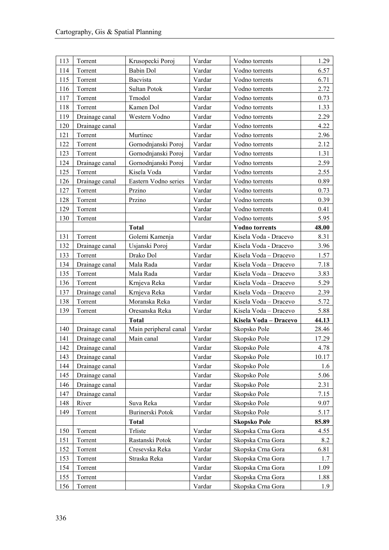| 113 | Torrent        | Krusopecki Poroj      | Vardar | Vodno torrents        | 1.29  |
|-----|----------------|-----------------------|--------|-----------------------|-------|
| 114 | Torrent        | <b>Babin Dol</b>      | Vardar | Vodno torrents        | 6.57  |
| 115 | Torrent        | Bacvista              | Vardar | Vodno torrents        | 6.71  |
| 116 | Torrent        | Sultan Potok          | Vardar | Vodno torrents        | 2.72  |
| 117 | Torrent        | Trnodol               | Vardar | Vodno torrents        | 0.73  |
| 118 | Torrent        | Kamen Dol             | Vardar | Vodno torrents        | 1.33  |
| 119 | Drainage canal | Western Vodno         | Vardar | Vodno torrents        | 2.29  |
| 120 | Drainage canal |                       | Vardar | Vodno torrents        | 4.22  |
| 121 | Torrent        | Murtinec              | Vardar | Vodno torrents        | 2.96  |
| 122 | Torrent        | Gornodnjanski Poroj   | Vardar | Vodno torrents        | 2.12  |
| 123 | Torrent        | Gornodnjanski Poroj   | Vardar | Vodno torrents        | 1.31  |
| 124 | Drainage canal | Gornodnjanski Poroj   | Vardar | Vodno torrents        | 2.59  |
| 125 | Torrent        | Kisela Voda           | Vardar | Vodno torrents        | 2.55  |
| 126 | Drainage canal | Eastern Vodno series  | Vardar | Vodno torrents        | 0.89  |
| 127 | Torrent        | Przino                | Vardar | Vodno torrents        | 0.73  |
| 128 | Torrent        | Przino                | Vardar | Vodno torrents        | 0.39  |
| 129 | Torrent        |                       | Vardar | Vodno torrents        | 0.41  |
| 130 | Torrent        |                       | Vardar | Vodno torrents        | 5.95  |
|     |                | <b>Total</b>          |        | <b>Vodno</b> torrents | 48.00 |
| 131 | Torrent        | Golemi Kamenja        | Vardar | Kisela Voda - Dracevo | 8.31  |
| 132 | Drainage canal | Usjanski Poroj        | Vardar | Kisela Voda - Dracevo | 3.96  |
| 133 | Torrent        | Drako Dol             | Vardar | Kisela Voda - Dracevo | 1.57  |
| 134 | Drainage canal | Mala Rada             | Vardar | Kisela Voda - Dracevo | 7.18  |
| 135 | Torrent        | Mala Rada             | Vardar | Kisela Voda - Dracevo | 3.83  |
| 136 | Torrent        | Krnjeva Reka          | Vardar | Kisela Voda - Dracevo | 5.29  |
| 137 | Drainage canal | Krnjeva Reka          | Vardar | Kisela Voda - Dracevo | 2.39  |
| 138 | Torrent        | Moranska Reka         | Vardar | Kisela Voda - Dracevo | 5.72  |
| 139 | Torrent        | Oresanska Reka        | Vardar | Kisela Voda - Dracevo | 5.88  |
|     |                | <b>Total</b>          |        | Kisela Voda - Dracevo | 44.13 |
| 140 | Drainage canal | Main peripheral canal | Vardar | Skopsko Pole          | 28.46 |
| 141 | Drainage canal | Main canal            | Vardar | Skopsko Pole          | 17.29 |
| 142 | Drainage canal |                       | Vardar | Skopsko Pole          | 4.78  |
| 143 | Drainage canal |                       | Vardar | Skopsko Pole          | 10.17 |
| 144 | Drainage canal |                       | Vardar | Skopsko Pole          | 1.6   |
| 145 | Drainage canal |                       | Vardar | Skopsko Pole          | 5.06  |
| 146 | Drainage canal |                       | Vardar | Skopsko Pole          | 2.31  |
| 147 | Drainage canal |                       | Vardar | Skopsko Pole          | 7.15  |
| 148 | River          | Suva Reka             | Vardar | Skopsko Pole          | 9.07  |
| 149 | Torrent        | Burinerski Potok      | Vardar | Skopsko Pole          | 5.17  |
|     |                | <b>Total</b>          |        | <b>Skopsko Pole</b>   | 85.89 |
| 150 | Torrent        | Trliste               | Vardar | Skopska Crna Gora     | 4.55  |
| 151 | Torrent        | Rastanski Potok       | Vardar | Skopska Crna Gora     | 8.2   |
| 152 | Torrent        | Cresevska Reka        | Vardar | Skopska Crna Gora     | 6.81  |
| 153 | Torrent        | Straska Reka          | Vardar | Skopska Crna Gora     | 1.7   |
| 154 | Torrent        |                       | Vardar | Skopska Crna Gora     | 1.09  |
| 155 | Torrent        |                       | Vardar | Skopska Crna Gora     | 1.88  |
| 156 | Torrent        |                       | Vardar | Skopska Crna Gora     | 1.9   |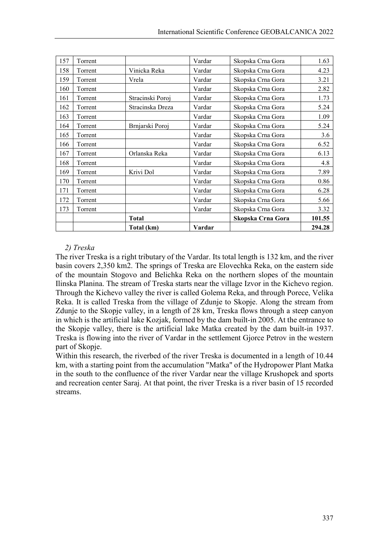| 157 | Torrent |                  | Vardar | Skopska Crna Gora | 1.63   |
|-----|---------|------------------|--------|-------------------|--------|
| 158 | Torrent | Vinicka Reka     | Vardar | Skopska Crna Gora | 4.23   |
| 159 | Torrent | Vrela            | Vardar | Skopska Crna Gora | 3.21   |
| 160 | Torrent |                  | Vardar | Skopska Crna Gora | 2.82   |
| 161 | Torrent | Stracinski Poroj | Vardar | Skopska Crna Gora | 1.73   |
| 162 | Torrent | Stracinska Dreza | Vardar | Skopska Crna Gora | 5.24   |
| 163 | Torrent |                  | Vardar | Skopska Crna Gora | 1.09   |
| 164 | Torrent | Brnjarski Poroj  | Vardar | Skopska Crna Gora | 5.24   |
| 165 | Torrent |                  | Vardar | Skopska Crna Gora | 3.6    |
| 166 | Torrent |                  | Vardar | Skopska Crna Gora | 6.52   |
| 167 | Torrent | Orlanska Reka    | Vardar | Skopska Crna Gora | 6.13   |
| 168 | Torrent |                  | Vardar | Skopska Crna Gora | 4.8    |
| 169 | Torrent | Krivi Dol        | Vardar | Skopska Crna Gora | 7.89   |
| 170 | Torrent |                  | Vardar | Skopska Crna Gora | 0.86   |
| 171 | Torrent |                  | Vardar | Skopska Crna Gora | 6.28   |
| 172 | Torrent |                  | Vardar | Skopska Crna Gora | 5.66   |
| 173 | Torrent |                  | Vardar | Skopska Crna Gora | 3.32   |
|     |         | <b>Total</b>     |        | Skopska Crna Gora | 101.55 |
|     |         | Total (km)       | Vardar |                   | 294.28 |

# *2) Treska*

The river Treska is a right tributary of the Vardar. Its total length is 132 km, and the river basin covers 2,350 km2. The springs of Treska are Elovechka Reka, on the eastern side of the mountain Stogovo and Belichka Reka on the northern slopes of the mountain Ilinska Planina. The stream of Treska starts near the village Izvor in the Kichevo region. Through the Kichevo valley the river is called Golema Reka, and through Porece, Velika Reka. It is called Treska from the village of Zdunje to Skopje. Along the stream from Zdunje to the Skopje valley, in a length of 28 km, Treska flows through a steep canyon in which is the artificial lake Kozjak, formed by the dam built-in 2005. At the entrance to the Skopje valley, there is the artificial lake Matka created by the dam built-in 1937. Treska is flowing into the river of Vardar in the settlement Gjorce Petrov in the western part of Skopje.

Within this research, the riverbed of the river Treska is documented in a length of 10.44 km, with a starting point from the accumulation "Matka" of the Hydropower Plant Matka in the south to the confluence of the river Vardar near the village Krushopek and sports and recreation center Saraj. At that point, the river Treska is a river basin of 15 recorded streams.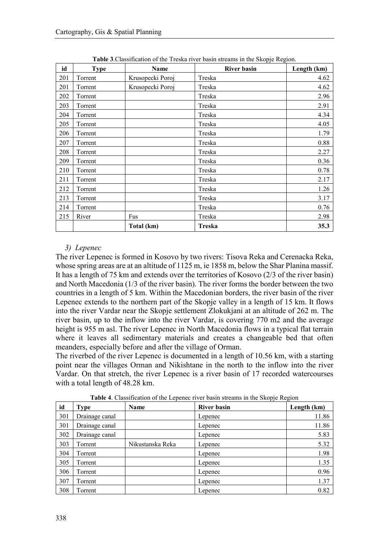| id  | <b>Type</b> | Name             | <b>River basin</b> | Length (km) |
|-----|-------------|------------------|--------------------|-------------|
| 201 | Torrent     | Krusopecki Poroj | Treska             | 4.62        |
| 201 | Torrent     | Krusopecki Poroj | Treska             | 4.62        |
| 202 | Torrent     |                  | Treska             | 2.96        |
| 203 | Torrent     |                  | Treska             | 2.91        |
| 204 | Torrent     |                  | Treska             | 4.34        |
| 205 | Torrent     |                  | Treska             | 4.05        |
| 206 | Torrent     |                  | Treska             | 1.79        |
| 207 | Torrent     |                  | Treska             | 0.88        |
| 208 | Torrent     |                  | Treska             | 2.27        |
| 209 | Torrent     |                  | Treska             | 0.36        |
| 210 | Torrent     |                  | Treska             | 0.78        |
| 211 | Torrent     |                  | Treska             | 2.17        |
| 212 | Torrent     |                  | Treska             | 1.26        |
| 213 | Torrent     |                  | Treska             | 3.17        |
| 214 | Torrent     |                  | Treska             | 0.76        |
| 215 | River       | Fus              | Treska             | 2.98        |
|     |             | Total (km)       | <b>Treska</b>      | 35.3        |

**Table 3**.Classification of the Treska river basin streams in the Skopje Region.

## *3) Lepenec*

The river Lepenec is formed in Kosovo by two rivers: Tisova Reka and Cerenacka Reka, whose spring areas are at an altitude of 1125 m, ie 1858 m, below the Shar Planina massif. It has a length of 75 km and extends over the territories of Kosovo (2/3 of the river basin) and North Macedonia (1/3 of the river basin). The river forms the border between the two countries in a length of 5 km. Within the Macedonian borders, the river basin of the river Lepenec extends to the northern part of the Skopje valley in a length of 15 km. It flows into the river Vardar near the Skopje settlement Zlokukjani at an altitude of 262 m. The river basin, up to the inflow into the river Vardar, is covering 770 m2 and the average height is 955 m asl. The river Lepenec in North Macedonia flows in a typical flat terrain where it leaves all sedimentary materials and creates a changeable bed that often meanders, especially before and after the village of Orman.

The riverbed of the river Lepenec is documented in a length of 10.56 km, with a starting point near the villages Orman and Nikishtane in the north to the inflow into the river Vardar. On that stretch, the river Lepenec is a river basin of 17 recorded watercourses with a total length of 48.28 km.

| id  | <b>Type</b>    | Name             | <b>River basin</b> | Length (km) |
|-----|----------------|------------------|--------------------|-------------|
| 301 | Drainage canal |                  | Lepenec            | 11.86       |
| 301 | Drainage canal |                  | Lepenec            | 11.86       |
| 302 | Drainage canal |                  | Lepenec            | 5.83        |
| 303 | Torrent        | Nikustanska Reka | Lepenec            | 5.32        |
| 304 | Torrent        |                  | Lepenec            | 1.98        |
| 305 | Torrent        |                  | Lepenec            | 1.35        |
| 306 | Torrent        |                  | Lepenec            | 0.96        |
| 307 | Torrent        |                  | Lepenec            | 1.37        |
| 308 | Torrent        |                  | Lepenec            | 0.82        |

**Table 4**. Classification of the Lepenec river basin streams in the Skopje Region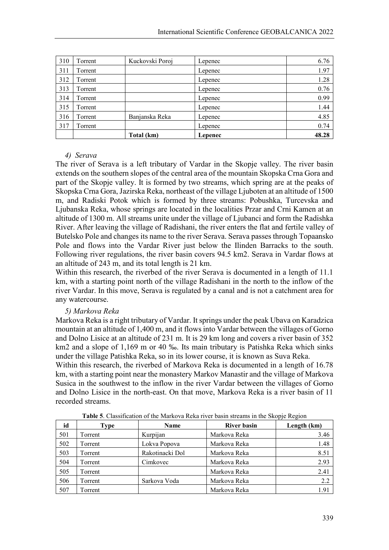| 310 | Torrent | Kuckovski Poroj | Lepenec | 6.76  |
|-----|---------|-----------------|---------|-------|
| 311 | Torrent |                 | Lepenec | 1.97  |
| 312 | Torrent |                 | Lepenec | 1.28  |
| 313 | Torrent |                 | Lepenec | 0.76  |
| 314 | Torrent |                 | Lepenec | 0.99  |
| 315 | Torrent |                 | Lepenec | 1.44  |
| 316 | Torrent | Banjanska Reka  | Lepenec | 4.85  |
| 317 | Torrent |                 | Lepenec | 0.74  |
|     |         | Total (km)      | Lepenec | 48.28 |

#### *4) Serava*

The river of Serava is a left tributary of Vardar in the Skopje valley. The river basin extends on the southern slopes of the central area of the mountain Skopska Crna Gora and part of the Skopje valley. It is formed by two streams, which spring are at the peaks of Skopska Crna Gora, Jazirska Reka, northeast of the village Ljuboten at an altitude of 1500 m, and Radiski Potok which is formed by three streams: Pobushka, Turcevska and Ljubanska Reka, whose springs are located in the localities Przar and Crni Kamen at an altitude of 1300 m. All streams unite under the village of Ljubanci and form the Radishka River. After leaving the village of Radishani, the river enters the flat and fertile valley of Butelsko Pole and changes its name to the river Serava. Serava passes through Topaansko Pole and flows into the Vardar River just below the Ilinden Barracks to the south. Following river regulations, the river basin covers 94.5 km2. Serava in Vardar flows at an altitude of 243 m, and its total length is 21 km.

Within this research, the riverbed of the river Serava is documented in a length of 11.1 km, with a starting point north of the village Radishani in the north to the inflow of the river Vardar. In this move, Serava is regulated by a canal and is not a catchment area for any watercourse.

#### *5) Markova Reka*

Markova Reka is a right tributary of Vardar. It springs under the peak Ubava on Karadzica mountain at an altitude of 1,400 m, and it flows into Vardar between the villages of Gorno and Dolno Lisice at an altitude of 231 m. It is 29 km long and covers a river basin of 352 km2 and a slope of 1,169 m or 40 ‰. Its main tributary is Patishka Reka which sinks under the village Patishka Reka, so in its lower course, it is known as Suva Reka.

Within this research, the riverbed of Markova Reka is documented in a length of 16.78 km, with a starting point near the monastery Markov Manastir and the village of Markova Susica in the southwest to the inflow in the river Vardar between the villages of Gorno and Dolno Lisice in the north-east. On that move, Markova Reka is a river basin of 11 recorded streams.

|     | <b>THOIC</b> of Chastineation of the Markova Reka fiver basin streams in the Skoppe Region |                 |                    |             |  |  |  |
|-----|--------------------------------------------------------------------------------------------|-----------------|--------------------|-------------|--|--|--|
| id  | Type                                                                                       | Name            | <b>River basin</b> | Length (km) |  |  |  |
| 501 | Torrent                                                                                    | Kurpijan        | Markova Reka       | 3.46        |  |  |  |
| 502 | Torrent                                                                                    | Lokva Popova    | Markova Reka       | 1.48        |  |  |  |
| 503 | Torrent                                                                                    | Rakotinacki Dol | Markova Reka       | 8.51        |  |  |  |
| 504 | Torrent                                                                                    | Cimkovec        | Markova Reka       | 2.93        |  |  |  |
| 505 | Torrent                                                                                    |                 | Markova Reka       | 2.41        |  |  |  |
| 506 | Torrent                                                                                    | Sarkova Voda    | Markova Reka       | 2.2         |  |  |  |
| 507 | Torrent                                                                                    |                 | Markova Reka       | 1.91        |  |  |  |

**Table 5**. Classification of the Markova Reka river basin streams in the Skopje Region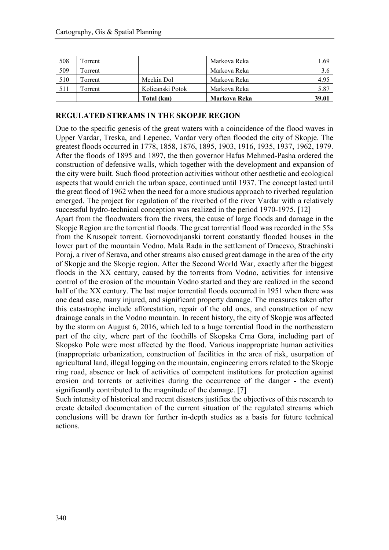| 508 | Torrent |                  | Markova Reka | 1.69  |
|-----|---------|------------------|--------------|-------|
| 509 | Torrent |                  | Markova Reka |       |
| 510 | Torrent | Meckin Dol       | Markova Reka | 4.95  |
| 511 | Torrent | Kolicanski Potok | Markova Reka | 5.87  |
|     |         | Total (km)       | Markova Reka | 39.01 |

#### **REGULATED STREAMS IN THE SKOPJE REGION**

Due to the specific genesis of the great waters with a coincidence of the flood waves in Upper Vardar, Treska, and Lepenec, Vardar very often flooded the city of Skopje. The greatest floods occurred in 1778, 1858, 1876, 1895, 1903, 1916, 1935, 1937, 1962, 1979. After the floods of 1895 and 1897, the then governor Hafus Mehmed-Pasha ordered the construction of defensive walls, which together with the development and expansion of the city were built. Such flood protection activities without other aesthetic and ecological aspects that would enrich the urban space, continued until 1937. The concept lasted until the great flood of 1962 when the need for a more studious approach to riverbed regulation emerged. The project for regulation of the riverbed of the river Vardar with a relatively successful hydro-technical conception was realized in the period 1970-1975. [12]

Apart from the floodwaters from the rivers, the cause of large floods and damage in the Skopje Region are the torrential floods. The great torrential flood was recorded in the 55s from the Krusopek torrent. Gornovodnjanski torrent constantly flooded houses in the lower part of the mountain Vodno. Mala Rada in the settlement of Dracevo, Strachinski Poroj, a river of Serava, and other streams also caused great damage in the area of the city of Skopje and the Skopje region. After the Second World War, exactly after the biggest floods in the XX century, caused by the torrents from Vodno, activities for intensive control of the erosion of the mountain Vodno started and they are realized in the second half of the XX century. The last major torrential floods occurred in 1951 when there was one dead case, many injured, and significant property damage. The measures taken after this catastrophe include afforestation, repair of the old ones, and construction of new drainage canals in the Vodno mountain. In recent history, the city of Skopje was affected by the storm on August 6, 2016, which led to a huge torrential flood in the northeastern part of the city, where part of the foothills of Skopska Crna Gora, including part of Skopsko Pole were most affected by the flood. Various inappropriate human activities (inappropriate urbanization, construction of facilities in the area of risk, usurpation of agricultural land, illegal logging on the mountain, engineering errors related to the Skopje ring road, absence or lack of activities of competent institutions for protection against erosion and torrents or activities during the occurrence of the danger - the event) significantly contributed to the magnitude of the damage. [7]

Such intensity of historical and recent disasters justifies the objectives of this research to create detailed documentation of the current situation of the regulated streams which conclusions will be drawn for further in-depth studies as a basis for future technical actions.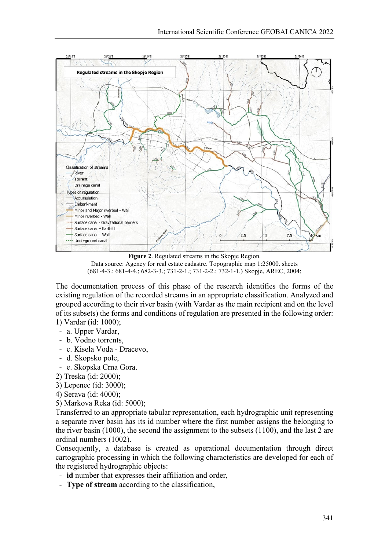

**Figure 2**. Regulated streams in the Skopje Region. Data source: Agency for real estate cadastre. Topographic map 1:25000. sheets (681-4-3.; 681-4-4.; 682-3-3.; 731-2-1.; 731-2-2.; 732-1-1.) Skopje, AREC, 2004;

The documentation process of this phase of the research identifies the forms of the existing regulation of the recorded streams in an appropriate classification. Analyzed and grouped according to their river basin (with Vardar as the main recipient and on the level of its subsets) the forms and conditions of regulation are presented in the following order: 1) Vardar (id: 1000);

- a. Upper Vardar,
- b. Vodno torrents,
- c. Kisela Voda Dracevo,
- d. Skopsko pole,
- e. Skopska Crna Gora.
- 2) Treska (id: 2000);
- 3) Lepenec (id: 3000);
- 4) Serava (id: 4000);
- 5) Markova Reka (id: 5000);

Transferred to an appropriate tabular representation, each hydrographic unit representing a separate river basin has its id number where the first number assigns the belonging to the river basin (1000), the second the assignment to the subsets (1100), and the last 2 are ordinal numbers (1002).

Consequently, a database is created as operational documentation through direct cartographic processing in which the following characteristics are developed for each of the registered hydrographic objects:

- **id** number that expresses their affiliation and order,
- **Type of stream** according to the classification,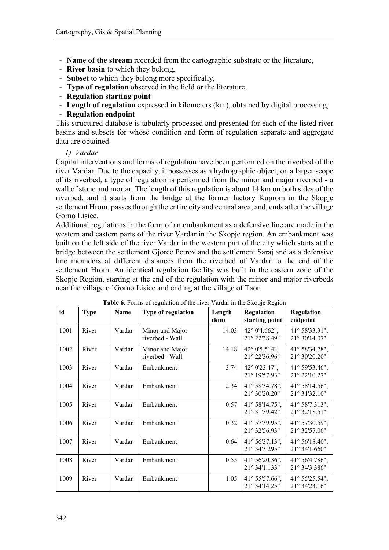- **Name of the stream** recorded from the cartographic substrate or the literature,
- **River basin** to which they belong,
- **Subset** to which they belong more specifically,
- **Type of regulation** observed in the field or the literature,
- **Regulation starting point**
- **Length of regulation** expressed in kilometers (km), obtained by digital processing,

## - **Regulation endpoint**

This structured database is tabularly processed and presented for each of the listed river basins and subsets for whose condition and form of regulation separate and aggregate data are obtained.

#### *1) Vardar*

Capital interventions and forms of regulation have been performed on the riverbed of the river Vardar. Due to the capacity, it possesses as a hydrographic object, on a larger scope of its riverbed, a type of regulation is performed from the minor and major riverbed - a wall of stone and mortar. The length of this regulation is about 14 km on both sides of the riverbed, and it starts from the bridge at the former factory Kuprom in the Skopje settlement Hrom, passes through the entire city and central area, and, ends after the village Gorno Lisice.

Additional regulations in the form of an embankment as a defensive line are made in the western and eastern parts of the river Vardar in the Skopje region. An embankment was built on the left side of the river Vardar in the western part of the city which starts at the bridge between the settlement Gjorce Petrov and the settlement Saraj and as a defensive line meanders at different distances from the riverbed of Vardar to the end of the settlement Hrom. An identical regulation facility was built in the eastern zone of the Skopje Region, starting at the end of the regulation with the minor and major riverbeds near the village of Gorno Lisice and ending at the village of Taor.

| id   | <b>Type</b> | Name   | Type of regulation                 | Length<br>(km) | Regulation<br>starting point             | Regulation<br>endpoint                     |
|------|-------------|--------|------------------------------------|----------------|------------------------------------------|--------------------------------------------|
| 1001 | River       | Vardar | Minor and Major<br>riverbed - Wall | 14.03          | 42° 0'4.662",<br>21° 22'38.49"           | 41° 58'33.31",<br>21° 30'14.07"            |
| 1002 | River       | Vardar | Minor and Major<br>riverbed - Wall | 14.18          | 42° 0'5.514",<br>21° 22'36.96"           | 41° 58'34.78",<br>21° 30'20.20"            |
| 1003 | River       | Vardar | Embankment                         | 3.74           | 42° 0'23.47",<br>21° 19'57.93"           | 41° 59'53.46",<br>21° 22'10.27"            |
| 1004 | River       | Vardar | Embankment                         | 2.34           | 41° 58'34.78",<br>21° 30'20.20"          | 41° 58'14.56",<br>21° 31'32.10"            |
| 1005 | River       | Vardar | Embankment                         | 0.57           | $41^{\circ}$ 58'14.75",<br>21° 31'59.42" | $41^{\circ}$ 58'7.313",<br>21° 32'18.51"   |
| 1006 | River       | Vardar | Embankment                         | 0.32           | 41° 57'39.95",<br>21° 32'56.93"          | 41° 57'30.59",<br>21° 32'57.06"            |
| 1007 | River       | Vardar | Embankment                         | 0.64           | 41° 56'37.13",<br>21° 34'3.295"          | $41^{\circ} 56' 18.40$ ",<br>21° 34'1.660" |
| 1008 | River       | Vardar | Embankment                         | 0.55           | 41° 56'20.36",<br>21° 34'1.133"          | 41° 56'4.786",<br>21° 34'3.386"            |
| 1009 | River       | Vardar | Embankment                         | 1.05           | $41^{\circ}$ 55'57.66",<br>21° 34'14.25" | 41° 55'25.54",<br>21° 34'23.16"            |

**Table 6**. Forms of regulation of the river Vardar in the Skopje Region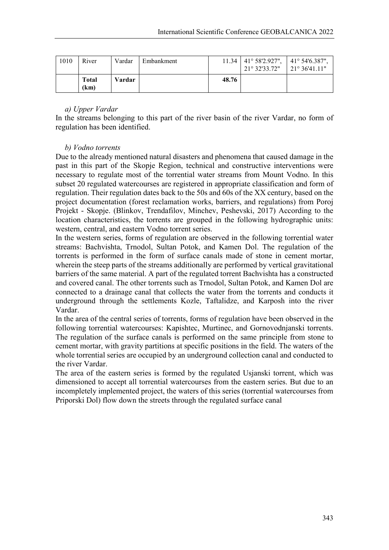| 1010 | River                | Vardar | Embankment |       | $11.34$   41° 58'2.927",<br>21° 32'33.72" | $\pm$ 41° 54'6.387".<br>  $21^{\circ} 36' 41.11''$ |
|------|----------------------|--------|------------|-------|-------------------------------------------|----------------------------------------------------|
|      | <b>Total</b><br>(km) | Vardar |            | 48.76 |                                           |                                                    |

# *a) Upper Vardar*

In the streams belonging to this part of the river basin of the river Vardar, no form of regulation has been identified.

# *b) Vodno torrents*

Due to the already mentioned natural disasters and phenomena that caused damage in the past in this part of the Skopje Region, technical and constructive interventions were necessary to regulate most of the torrential water streams from Mount Vodno. In this subset 20 regulated watercourses are registered in appropriate classification and form of regulation. Their regulation dates back to the 50s and 60s of the XX century, based on the project documentation (forest reclamation works, barriers, and regulations) from Poroj Projekt - Skopje. (Blinkov, Trendafilov, Minchev, Peshevski, 2017) According to the location characteristics, the torrents are grouped in the following hydrographic units: western, central, and eastern Vodno torrent series.

In the western series, forms of regulation are observed in the following torrential water streams: Bachvishta, Trnodol, Sultan Potok, and Kamen Dol. The regulation of the torrents is performed in the form of surface canals made of stone in cement mortar, wherein the steep parts of the streams additionally are performed by vertical gravitational barriers of the same material. A part of the regulated torrent Bachvishta has a constructed and covered canal. The other torrents such as Trnodol, Sultan Potok, and Kamen Dol are connected to a drainage canal that collects the water from the torrents and conducts it underground through the settlements Kozle, Taftalidze, and Karposh into the river Vardar.

In the area of the central series of torrents, forms of regulation have been observed in the following torrential watercourses: Kapishtec, Murtinec, and Gornovodnjanski torrents. The regulation of the surface canals is performed on the same principle from stone to cement mortar, with gravity partitions at specific positions in the field. The waters of the whole torrential series are occupied by an underground collection canal and conducted to the river Vardar.

The area of the eastern series is formed by the regulated Usjanski torrent, which was dimensioned to accept all torrential watercourses from the eastern series. But due to an incompletely implemented project, the waters of this series (torrential watercourses from Priporski Dol) flow down the streets through the regulated surface canal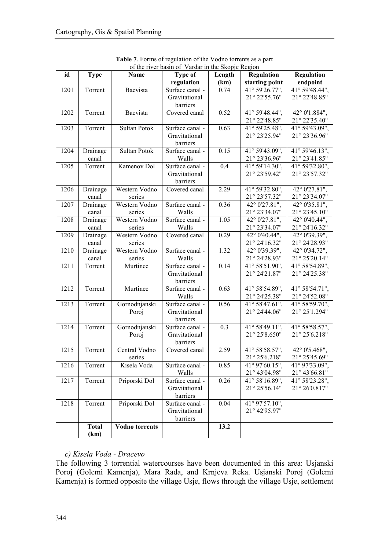|      | of the river basin of Vardar in the Skopje Region |                       |                 |        |                 |                             |  |
|------|---------------------------------------------------|-----------------------|-----------------|--------|-----------------|-----------------------------|--|
| id   | <b>Type</b>                                       | Name                  | <b>Type of</b>  | Length | Regulation      | Regulation                  |  |
|      |                                                   |                       | regulation      | (km)   | starting point  | endpoint                    |  |
| 1201 | Torrent                                           | Bacvista              | Surface canal - | 0.74   | 41° 59'26.77",  | 41° 59'48.44",              |  |
|      |                                                   |                       | Gravitational   |        | 21° 22'55.76"   | 21° 22'48.85"               |  |
|      |                                                   |                       | barriers        |        |                 |                             |  |
| 1202 | Torrent                                           | Bacvista              | Covered canal   | 0.52   | 41° 59'48.44",  | 42° 0'1.884",               |  |
|      |                                                   |                       |                 |        | 21° 22'48.85"   | 21° 22'35.40"               |  |
| 1203 | Torrent                                           | Sultan Potok          | Surface canal - | 0.63   | 41° 59'25.48",  | 41° 59'43.09",              |  |
|      |                                                   |                       | Gravitational   |        | 21° 23'25.94"   | 21° 23'36.96"               |  |
|      |                                                   |                       | barriers        |        |                 |                             |  |
| 1204 | Drainage                                          | Sultan Potok          | Surface canal - | 0.15   | 41° 59'43.09",  | 41° 59'46.13",              |  |
|      | canal                                             |                       | Walls           |        | 21° 23'36.96"   | 21° 23'41.85"               |  |
| 1205 | Torrent                                           | Kamenov Dol           | Surface canal - | 0.4    | 41° 59'14.30",  | 41° 59'32.80",              |  |
|      |                                                   |                       | Gravitational   |        | 21° 23'59.42"   | 21° 23'57.32"               |  |
|      |                                                   |                       | barriers        |        |                 |                             |  |
| 1206 | Drainage                                          | Western Vodno         | Covered canal   | 2.29   | 41° 59'32.80",  | 42° 0'27.81",               |  |
|      | canal                                             | series                |                 |        | 21° 23'57.32"   | 21° 23'34.07"               |  |
| 1207 | Drainage                                          | Western Vodno         | Surface canal - | 0.36   | 42° 0'27.81",   | 42° 0'35.81",               |  |
|      | canal                                             | series                | Walls           |        | 21° 23'34.07"   | 21° 23'45.10"               |  |
| 1208 | Drainage                                          | Western Vodno         | Surface canal - | 1.05   | 42° 0'27.81",   | 42° 0'40.44",               |  |
|      | canal                                             | series                | Walls           |        | 21° 23'34.07"   | 21° 24'16.32"               |  |
| 1209 | Drainage                                          | Western Vodno         | Covered canal   | 0.29   | 42° 0'40.44",   | 42° 0'39.39",               |  |
|      | canal                                             | series                |                 |        | 21° 24'16.32"   | 21° 24'28.93"               |  |
| 1210 | Drainage                                          | Western Vodno         | Surface canal - | 1.32   | 42° 0'39.39",   | $\overline{42}$ ° 0'34.72", |  |
|      | canal                                             | series                | Walls           |        | 21° 24'28.93"   | 21° 25'20.14"               |  |
| 1211 | Torrent                                           | Murtinec              | Surface canal - | 0.14   | 41° 58'51.90",  | 41° 58'54.89",              |  |
|      |                                                   |                       | Gravitational   |        | 21° 24' 21.87"  | 21° 24'25.38"               |  |
|      |                                                   |                       | barriers        |        |                 |                             |  |
| 1212 | Torrent                                           | Murtinec              | Surface canal - | 0.63   | 41° 58'54.89",  | 41° 58'54.71",              |  |
|      |                                                   |                       | Walls           |        | 21° 24'25.38"   | 21° 24'52.08"               |  |
| 1213 | Torrent                                           | Gornodnjanski         | Surface canal - | 0.56   | 41° 58' 47.61", | 41° 58'59.70",              |  |
|      |                                                   | Poroj                 | Gravitational   |        | 21° 24'44.06"   | 21° 25'1.294"               |  |
|      |                                                   |                       | barriers        |        |                 |                             |  |
| 1214 | Torrent                                           | Gornodnjanski         | Surface canal - | 0.3    | 41° 58'49.11",  | 41° 58' 58.57",             |  |
|      |                                                   | Poroj                 | Gravitational   |        | 21° 25'8.650"   | 21° 25'6.218"               |  |
|      |                                                   |                       | barriers        |        |                 |                             |  |
| 1215 | Torrent                                           | Central Vodno         | Covered canal   | 2.59   | 41° 58'58.57",  | 42° 0'5.468",               |  |
|      |                                                   | series                |                 |        | 21° 25'6.218"   | 21° 25'45.69"               |  |
| 1216 | Torrent                                           | Kisela Voda           | Surface canal - | 0.85   | 41° 97'60.15",  | 41° 97'33.09",              |  |
|      |                                                   |                       | Walls           |        | 21° 43'04.98"   | 21° 43'66.81"               |  |
| 1217 | Torrent                                           | Priporski Dol         | Surface canal - | 0.26   | 41° 58'16.89",  | 41° 58'23.28",              |  |
|      |                                                   |                       | Gravitational   |        | 21° 25'56.14"   | 21° 26'0.817"               |  |
|      |                                                   |                       | barriers        |        |                 |                             |  |
| 1218 | Torrent                                           | Priporski Dol         | Surface canal - | 0.04   | 41° 97'57.10",  |                             |  |
|      |                                                   |                       | Gravitational   |        | 21° 42'95.97"   |                             |  |
|      |                                                   |                       | barriers        |        |                 |                             |  |
|      | <b>Total</b>                                      | <b>Vodno</b> torrents |                 | 13.2   |                 |                             |  |
|      | (km)                                              |                       |                 |        |                 |                             |  |

|  | Table 7. Forms of regulation of the Vodno torrents as a part |  |  |  |
|--|--------------------------------------------------------------|--|--|--|
|  | of the river hasin of Vardar in the Skopie Region            |  |  |  |

# *c) Kisela Voda - Dracevo*

The following 3 torrential watercourses have been documented in this area: Usjanski Poroj (Golemi Kamenja), Mara Rada, and Krnjeva Reka. Usjanski Poroj (Golemi Kamenja) is formed opposite the village Usje, flows through the village Usje, settlement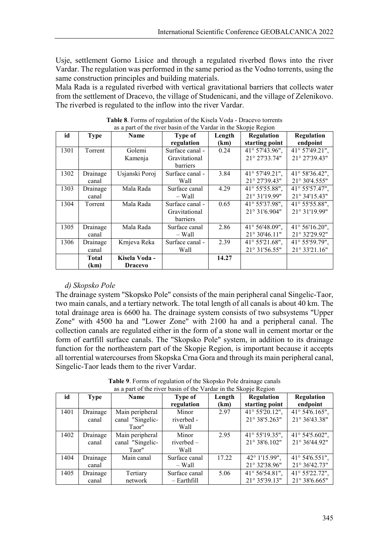Usje, settlement Gorno Lisice and through a regulated riverbed flows into the river Vardar. The regulation was performed in the same period as the Vodno torrents, using the same construction principles and building materials.

Mala Rada is a regulated riverbed with vertical gravitational barriers that collects water from the settlement of Dracevo, the village of Studenicani, and the village of Zelenikovo. The riverbed is regulated to the inflow into the river Vardar.

| id   | <b>Type</b> | <b>Name</b>    | <b>Type of</b>  | Length | Regulation              | Regulation              |
|------|-------------|----------------|-----------------|--------|-------------------------|-------------------------|
|      |             |                | regulation      | (km)   | starting point          | endpoint                |
| 1301 | Torrent     | Golemi         | Surface canal - | 0.24   | 41° 57'43.96",          | 41° 57'49.21",          |
|      |             | Kamenja        | Gravitational   |        | 21° 27'33.74"           | 21° 27'39.43"           |
|      |             |                | <b>barriers</b> |        |                         |                         |
| 1302 | Drainage    | Usjanski Poroj | Surface canal - | 3.84   | 41° 57'49.21",          | $41^{\circ}$ 58'36.42", |
|      | canal       |                | Wall            |        | 21° 27'39.43"           | 21° 30'4.555"           |
| 1303 | Drainage    | Mala Rada      | Surface canal   | 4.29   | 41° 55' 55.88",         | 41° 55' 57.47",         |
|      | canal       |                | – Wall          |        | 21° 31'19.99"           | 21° 34'15.43"           |
| 1304 | Torrent     | Mala Rada      | Surface canal - | 0.65   | 41° 55'37.98".          | 41° 55' 55.88",         |
|      |             |                | Gravitational   |        | 21° 31'6.904"           | 21° 31'19.99"           |
|      |             |                | <b>barriers</b> |        |                         |                         |
| 1305 | Drainage    | Mala Rada      | Surface canal   | 2.86   | $41^{\circ}$ 56'48.09", | 41° 56'16.20",          |
|      | canal       |                | – Wall          |        | 21° 30'46.11"           | 21° 32'29.92"           |
| 1306 | Drainage    | Krnjeva Reka   | Surface canal - | 2.39   | 41° 55'21.68",          | 41° 55'59.79",          |
|      | canal       |                | Wall            |        | 21° 31'56.55"           | 21° 33'21.16"           |
|      | Total       | Kisela Voda -  |                 | 14.27  |                         |                         |
|      | (km)        | <b>Dracevo</b> |                 |        |                         |                         |

**Table 8**. Forms of regulation of the Kisela Voda - Dracevo torrents as a part of the river basin of the Vardar in the Skopje Region

#### *d) Skopsko Pole*

The drainage system "Skopsko Pole" consists of the main peripheral canal Singelic-Taor, two main canals, and a tertiary network. The total length of all canals is about 40 km. The total drainage area is 6600 ha. The drainage system consists of two subsystems "Upper Zone" with 4500 ha and "Lower Zone" with 2100 ha and a peripheral canal. The collection canals are regulated either in the form of a stone wall in cement mortar or the form of eartfill surface canals. The "Skopsko Pole" system, in addition to its drainage function for the northeastern part of the Skopje Region, is important because it accepts all torrential watercourses from Skopska Crna Gora and through its main peripheral canal, Singelic-Taor leads them to the river Vardar.

**Table 9**. Forms of regulation of the Skopsko Pole drainage canals as a part of the river basin of the Vardar in the Skopje Region

|      | F.I = === <del>A</del> === |                  |               |        |                   |                   |  |  |
|------|----------------------------|------------------|---------------|--------|-------------------|-------------------|--|--|
| id   | <b>Type</b>                | <b>Name</b>      | Type of       | Length | <b>Regulation</b> | <b>Regulation</b> |  |  |
|      |                            |                  | regulation    | (km)   | starting point    | endpoint          |  |  |
| 1401 | Drainage                   | Main peripheral  | Minor         | 2.97   | 41° 55'20.12",    | 41° 54' 6.165",   |  |  |
|      | canal                      | canal "Singelic- | riverbed -    |        | 21° 38'5.263"     | 21° 36'43.38"     |  |  |
|      |                            | Taor"            | Wall          |        |                   |                   |  |  |
| 1402 | Drainage                   | Main peripheral  | Minor         | 2.95   | 41° 55'19.35",    | 41° 54'5.602",    |  |  |
|      | canal                      | canal "Singelic- | riverbed -    |        | 21° 38'6.102"     | 21° 36'44.92"     |  |  |
|      |                            | Taor"            | Wall          |        |                   |                   |  |  |
| 1404 | Drainage                   | Main canal       | Surface canal | 17.22  | 42° 1'15.99",     | 41° 54' 6.551",   |  |  |
|      | canal                      |                  | – Wall        |        | 21° 32'38.96"     | 21° 36'42.73"     |  |  |
| 1405 | Drainage                   | Tertiary         | Surface canal | 5.06   | 41° 56' 54.81",   | 41° 55'22.72",    |  |  |
|      | canal                      | network          | $-$ Earthfill |        | 21° 35'39.13"     | 21° 38'6.665"     |  |  |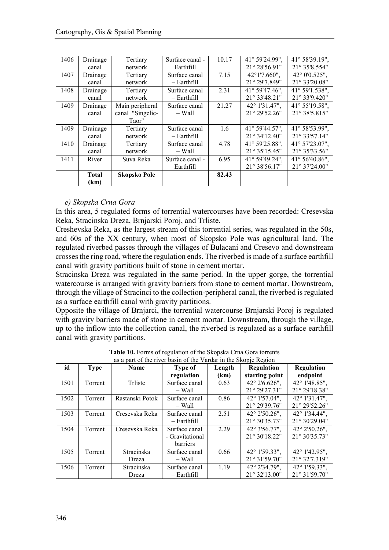| 1406 | Drainage     | Tertiary            | Surface canal - | 10.17 | 41° 59'24.99",          | 41° 58'39.19".  |
|------|--------------|---------------------|-----------------|-------|-------------------------|-----------------|
|      | canal        | network             | Earthfill       |       | 21° 28'56.91"           | 21° 35'8.554"   |
| 1407 | Drainage     | Tertiary            | Surface canal   | 7.15  | 42°1'7.660",            | 42° 0'0.525",   |
|      | canal        | network             | $-$ Earthfill   |       | 21° 29'7.849"           | 21° 33'20.08"   |
| 1408 | Drainage     | Tertiary            | Surface canal   | 2.31  | $41^{\circ}$ 59'47.46". | 41° 59'1.538".  |
|      | canal        | network             | $-$ Earthfill   |       | 21° 33'48.21"           | 21° 33'9.420"   |
| 1409 | Drainage     | Main peripheral     | Surface canal   | 21.27 | 42° 1'31.47".           | 41° 55'19.58".  |
|      | canal        | canal "Singelic-    | – Wall          |       | 21° 29'52.26"           | 21° 38'5.815"   |
|      |              | Taor"               |                 |       |                         |                 |
| 1409 | Drainage     | Tertiary            | Surface canal   | 1.6   | 41° 59'44.57",          | 41° 58' 53.99", |
|      | canal        | network             | – Earthfill     |       | $21^{\circ}$ 34'12.40"  | 21° 33'57.14"   |
| 1410 | Drainage     | Tertiary            | Surface canal   | 4.78  | 41° 59'25.88",          | 41° 57'23.07".  |
|      | canal        | network             | – Wall          |       | 21° 35'15.45"           | 21° 35'33.56"   |
| 1411 | River        | Suva Reka           | Surface canal - | 6.95  | 41° 59'49.24".          | 41° 56'40.86".  |
|      |              |                     | Earthfill       |       | 21° 38'56.17"           | 21° 37'24.00"   |
|      | <b>Total</b> | <b>Skopsko Pole</b> |                 | 82.43 |                         |                 |
|      | (km)         |                     |                 |       |                         |                 |

#### *e) Skopska Crna Gora*

In this area, 5 regulated forms of torrential watercourses have been recorded: Cresevska Reka, Stracinska Dreza, Brnjarski Poroj, and Trliste.

Creshevska Reka, as the largest stream of this torrential series, was regulated in the 50s, and 60s of the XX century, when most of Skopsko Pole was agricultural land. The regulated riverbed passes through the villages of Bulacani and Cresevo and downstream crosses the ring road, where the regulation ends. The riverbed is made of a surface earthfill canal with gravity partitions built of stone in cement mortar.

Stracinska Dreza was regulated in the same period. In the upper gorge, the torrential watercourse is arranged with gravity barriers from stone to cement mortar. Downstream, through the village of Stracinci to the collection-peripheral canal, the riverbed is regulated as a surface earthfill canal with gravity partitions.

Opposite the village of Brnjarci, the torrential watercourse Brnjarski Poroj is regulated with gravity barriers made of stone in cement mortar. Downstream, through the village, up to the inflow into the collection canal, the riverbed is regulated as a surface earthfill canal with gravity partitions.

|      |             | as a part of the river basin of the Vardar in the Skopje Region |                 |        |                        |                        |
|------|-------------|-----------------------------------------------------------------|-----------------|--------|------------------------|------------------------|
| id   | <b>Type</b> | <b>Name</b>                                                     | <b>Type of</b>  | Length | <b>Regulation</b>      | <b>Regulation</b>      |
|      |             |                                                                 | regulation      | (km)   | starting point         | endpoint               |
| 1501 | Torrent     | Trliste                                                         | Surface canal   | 0.63   | $42^{\circ}$ 2'6.626", | 42° 1'48.85",          |
|      |             |                                                                 | $-$ Wall        |        | 21° 29'27.31"          | 21° 29'18.38"          |
| 1502 | Torrent     | Rastanski Potok                                                 | Surface canal   | 0.86   | 42° 1'57.04".          | 42° 1'31.47".          |
|      |             |                                                                 | $-$ Wall        |        | 21° 29'39.76"          | 21° 29'52.26"          |
| 1503 | Torrent     | Cresevska Reka                                                  | Surface canal   | 2.51   | 42° 2'50.26",          | 42° 1'34.44".          |
|      |             |                                                                 | – Earthfill     |        | 21° 30'35.73"          | 21° 30'29.04"          |
| 1504 | Torrent     | Cresevska Reka                                                  | Surface canal   | 2.29   | 42° 3'56.77".          | $42^{\circ}$ 2'50.26". |
|      |             |                                                                 | - Gravitational |        | 21° 30'18.22"          | 21° 30'35.73"          |
|      |             |                                                                 | <b>barriers</b> |        |                        |                        |
| 1505 | Torrent     | <b>Stracinska</b>                                               | Surface canal   | 0.66   | 42° 1'59.33",          | 42° 1'42.95",          |
|      |             | Dreza                                                           | – Wall          |        | $21^{\circ}31'59.70"$  | 21° 32'7.319"          |
| 1506 | Torrent     | Stracinska                                                      | Surface canal   | 1.19   | 42° 2'34.79".          | 42° 1'59.33",          |
|      |             | Dreza                                                           | $-$ Earthfill   |        | 21° 32'13.00"          | 21° 31'59.70"          |

**Table 10.** Forms of regulation of the Skopska Crna Gora torrents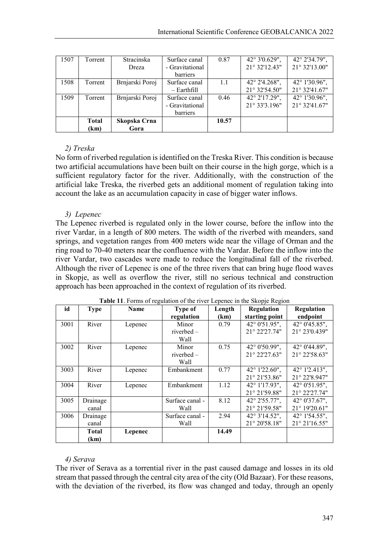| 1507 | Torrent      | <b>Stracinska</b> | Surface canal   | 0.87  | $42^{\circ}3'0.629",$ | 42° 2'34.79", |
|------|--------------|-------------------|-----------------|-------|-----------------------|---------------|
|      |              | Dreza             | - Gravitational |       | 21° 32'12.43"         | 21° 32'13.00" |
|      |              |                   | barriers        |       |                       |               |
| 1508 | Torrent      | Brnjarski Poroj   | Surface canal   | 1.1   | 42° 2'4.268",         | 42° 1'30.96", |
|      |              |                   | $-$ Earthfill   |       | 21° 32'54.50"         | 21° 32'41.67" |
| 1509 | Torrent      | Brnjarski Poroj   | Surface canal   | 0.46  | 42° 2'17.29",         | 42° 1'30.96", |
|      |              |                   | - Gravitational |       | 21° 33'3.196"         | 21° 32'41.67" |
|      |              |                   | barriers        |       |                       |               |
|      | <b>Total</b> | Skopska Crna      |                 | 10.57 |                       |               |
|      | (km)         | Gora              |                 |       |                       |               |

## *2) Treska*

No form of riverbed regulation is identified on the Treska River. This condition is because two artificial accumulations have been built on their course in the high gorge, which is a sufficient regulatory factor for the river. Additionally, with the construction of the artificial lake Treska, the riverbed gets an additional moment of regulation taking into account the lake as an accumulation capacity in case of bigger water inflows.

## *3) Lepenec*

The Lepenec riverbed is regulated only in the lower course, before the inflow into the river Vardar, in a length of 800 meters. The width of the riverbed with meanders, sand springs, and vegetation ranges from 400 meters wide near the village of Orman and the ring road to 70-40 meters near the confluence with the Vardar. Before the inflow into the river Vardar, two cascades were made to reduce the longitudinal fall of the riverbed. Although the river of Lepenec is one of the three rivers that can bring huge flood waves in Skopje, as well as overflow the river, still no serious technical and construction approach has been approached in the context of regulation of its riverbed.

| id   | <b>Type</b>  | <b>Name</b> | Type of         | Length | Regulation             | Regulation             |
|------|--------------|-------------|-----------------|--------|------------------------|------------------------|
|      |              |             | regulation      | (km)   | starting point         | endpoint               |
| 3001 | River        | Lepenec     | Minor           | 0.79   | 42° 0'51.95",          | 42° 0'45.85",          |
|      |              |             | riverbed $-$    |        | 21° 22'27.74"          | 21° 23'0.439"          |
|      |              |             | Wall            |        |                        |                        |
| 3002 | River        | Lepenec     | Minor           | 0.75   | $42^{\circ}$ 0'50.99", | $42^{\circ}$ 0'44.89", |
|      |              |             | riverbed $-$    |        | $21^{\circ} 22'27.63"$ | 21° 22'58.63"          |
|      |              |             | Wall            |        |                        |                        |
| 3003 | River        | Lepenec     | Embankment      | 0.77   | 42° 1'22.60",          | 42° 1'2.413",          |
|      |              |             |                 |        | 21° 21'53.86"          | 21° 22'8.947"          |
| 3004 | River        | Lepenec     | Embankment      | 1.12   | 42° 1'17.93".          | 42° 0'51.95".          |
|      |              |             |                 |        | 21° 21'59.88"          | 21° 22'27.74"          |
| 3005 | Drainage     |             | Surface canal - | 8.12   | 42° 2'55.77".          | $42^{\circ}$ 0'37.67". |
|      | canal        |             | Wall            |        | 21° 21'59.58"          | 21° 19'20.61"          |
| 3006 | Drainage     |             | Surface canal - | 2.94   | 42° 3'14.52",          | 42° 1'54.55",          |
|      | canal        |             | Wall            |        | 21° 20'58.18"          | 21° 21'16.55"          |
|      | <b>Total</b> | Lepenec     |                 | 14.49  |                        |                        |
|      | (km)         |             |                 |        |                        |                        |

**Table 11**. Forms of regulation of the river Lepenec in the Skopje Region

#### *4) Serava*

The river of Serava as a torrential river in the past caused damage and losses in its old stream that passed through the central city area of the city (Old Bazaar). For these reasons, with the deviation of the riverbed, its flow was changed and today, through an openly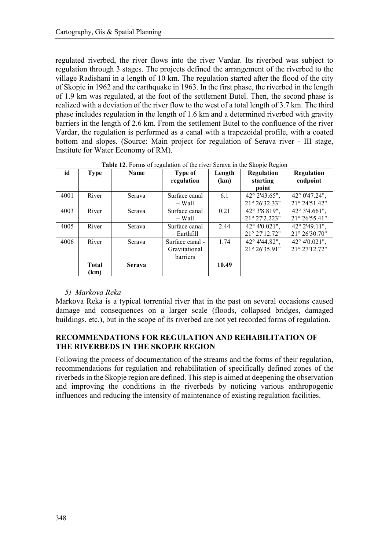regulated riverbed, the river flows into the river Vardar. Its riverbed was subject to regulation through 3 stages. The projects defined the arrangement of the riverbed to the village Radishani in a length of 10 km. The regulation started after the flood of the city of Skopje in 1962 and the earthquake in 1963. In the first phase, the riverbed in the length of 1.9 km was regulated, at the foot of the settlement Butel. Then, the second phase is realized with a deviation of the river flow to the west of a total length of 3.7 km. The third phase includes regulation in the length of 1.6 km and a determined riverbed with gravity barriers in the length of 2.6 km. From the settlement Butel to the confluence of the river Vardar, the regulation is performed as a canal with a trapezoidal profile, with a coated bottom and slopes. (Source: Main project for regulation of Serava river - III stage, Institute for Water Economy of RM).

| id   | <b>Type</b>  | Name   | <b>Type of</b><br>regulation | Length<br>(km) | r., <del>.</del><br>Regulation<br>starting | Regulation<br>endpoint |
|------|--------------|--------|------------------------------|----------------|--------------------------------------------|------------------------|
|      |              |        |                              |                | point                                      |                        |
| 4001 | River        | Serava | Surface canal                | 6.1            | $42^{\circ}$ 2'43.65",                     | $42^{\circ}$ 0'47.24", |
|      |              |        | – Wall                       |                | 21° 26'32.33"                              | 21° 24'51.42"          |
| 4003 | River        | Serava | Surface canal                | 0.21           | 42° 3'8.819",                              | 42° 3'4.661",          |
|      |              |        | $-$ Wall                     |                | 21° 27'2.223"                              | 21° 26' 55.41"         |
| 4005 | River        | Serava | Surface canal                | 2.44           | $42^{\circ}4'0.021"$ ,                     | 42° 2'49.11",          |
|      |              |        | $-$ Earthfill                |                | 21° 27'12.72"                              | $21^{\circ} 26'30.70"$ |
| 4006 | River        | Serava | Surface canal -              | 1.74           | 42° 4'44.82",                              | 42° 4'0.021",          |
|      |              |        | Gravitational                |                | 21° 26'35.91"                              | 21° 27'12.72"          |
|      |              |        | barriers                     |                |                                            |                        |
|      | <b>Total</b> | Serava |                              | 10.49          |                                            |                        |
|      | (km)         |        |                              |                |                                            |                        |

**Table 12.** Forms of regulation of the river Serava in the Skopje Region

# *5) Markova Reka*

Markova Reka is a typical torrential river that in the past on several occasions caused damage and consequences on a larger scale (floods, collapsed bridges, damaged buildings, etc.), but in the scope of its riverbed are not yet recorded forms of regulation.

# **RECOMMENDATIONS FOR REGULATION AND REHABILITATION OF THE RIVERBEDS IN THE SKOPJE REGION**

Following the process of documentation of the streams and the forms of their regulation, recommendations for regulation and rehabilitation of specifically defined zones of the riverbeds in the Skopje region are defined. This step is aimed at deepening the observation and improving the conditions in the riverbeds by noticing various anthropogenic influences and reducing the intensity of maintenance of existing regulation facilities.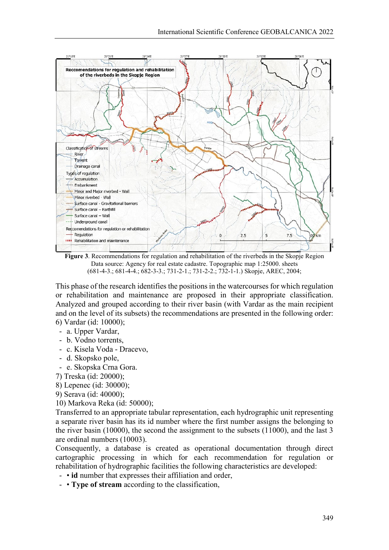

**Figure 3**. Recommendations for regulation and rehabilitation of the riverbeds in the Skopje Region Data source: Agency for real estate cadastre. Topographic map 1:25000. sheets (681-4-3.; 681-4-4.; 682-3-3.; 731-2-1.; 731-2-2.; 732-1-1.) Skopje, AREC, 2004;

This phase of the research identifies the positions in the watercourses for which regulation or rehabilitation and maintenance are proposed in their appropriate classification. Analyzed and grouped according to their river basin (with Vardar as the main recipient and on the level of its subsets) the recommendations are presented in the following order: 6) Vardar (id: 10000);

- a. Upper Vardar,
- b. Vodno torrents,
- c. Kisela Voda Dracevo,
- d. Skopsko pole,
- e. Skopska Crna Gora.
- 7) Treska (id: 20000);
- 8) Lepenec (id: 30000);
- 9) Serava (id: 40000);
- 10) Markova Reka (id: 50000);

Transferred to an appropriate tabular representation, each hydrographic unit representing a separate river basin has its id number where the first number assigns the belonging to the river basin (10000), the second the assignment to the subsets (11000), and the last 3 are ordinal numbers (10003).

Consequently, a database is created as operational documentation through direct cartographic processing in which for each recommendation for regulation or rehabilitation of hydrographic facilities the following characteristics are developed:

- • **id** number that expresses their affiliation and order,
- • **Type of stream** according to the classification,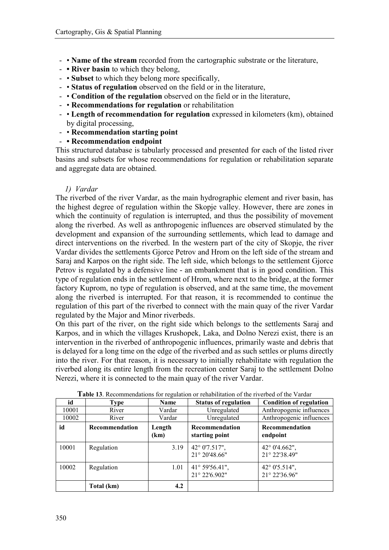- • **Name of the stream** recorded from the cartographic substrate or the literature,
- **River basin** to which they belong,
- • **Subset** to which they belong more specifically,
- • **Status of regulation** observed on the field or in the literature,
- • **Condition of the regulation** observed on the field or in the literature,
- • **Recommendations for regulation** or rehabilitation
- • **Length of recommendation for regulation** expressed in kilometers (km), obtained by digital processing,
- • **Recommendation starting point**
- **Recommendation endpoint**

This structured database is tabularly processed and presented for each of the listed river basins and subsets for whose recommendations for regulation or rehabilitation separate and aggregate data are obtained.

#### *1) Vardar*

The riverbed of the river Vardar, as the main hydrographic element and river basin, has the highest degree of regulation within the Skopje valley. However, there are zones in which the continuity of regulation is interrupted, and thus the possibility of movement along the riverbed. As well as anthropogenic influences are observed stimulated by the development and expansion of the surrounding settlements, which lead to damage and direct interventions on the riverbed. In the western part of the city of Skopje, the river Vardar divides the settlements Gjorce Petrov and Hrom on the left side of the stream and Saraj and Karpos on the right side. The left side, which belongs to the settlement Gjorce Petrov is regulated by a defensive line - an embankment that is in good condition. This type of regulation ends in the settlement of Hrom, where next to the bridge, at the former factory Kuprom, no type of regulation is observed, and at the same time, the movement along the riverbed is interrupted. For that reason, it is recommended to continue the regulation of this part of the riverbed to connect with the main quay of the river Vardar regulated by the Major and Minor riverbeds.

On this part of the river, on the right side which belongs to the settlements Saraj and Karpos, and in which the villages Krushopek, Laka, and Dolno Nerezi exist, there is an intervention in the riverbed of anthropogenic influences, primarily waste and debris that is delayed for a long time on the edge of the riverbed and as such settles or plums directly into the river. For that reason, it is necessary to initially rehabilitate with regulation the riverbed along its entire length from the recreation center Saraj to the settlement Dolno Nerezi, where it is connected to the main quay of the river Vardar.

| id    | Type           | $\circ$<br>Name | <b>Status of regulation</b>      | <b>Condition of regulation</b>          |
|-------|----------------|-----------------|----------------------------------|-----------------------------------------|
| 10001 | River          | Vardar          | Unregulated                      | Anthropogenic influences                |
| 10002 | River          | Vardar          | Unregulated                      | Anthropogenic influences                |
| id    | Recommendation | Length<br>(km)  | Recommendation<br>starting point | Recommendation<br>endpoint              |
| 10001 | Regulation     | 3.19            | 42° 0'7.517",<br>21° 20'48.66"   | $42^{\circ}$ 0'4.662",<br>21° 22'38.49" |
| 10002 | Regulation     | 1.01            | 41° 59'56.41",<br>21° 22'6.902"  | 42° 0'5.514",<br>21° 22'36.96"          |
|       | Total (km)     | 4.2             |                                  |                                         |

**Table 13**. Recommendations for regulation or rehabilitation of the riverbed of the Vardar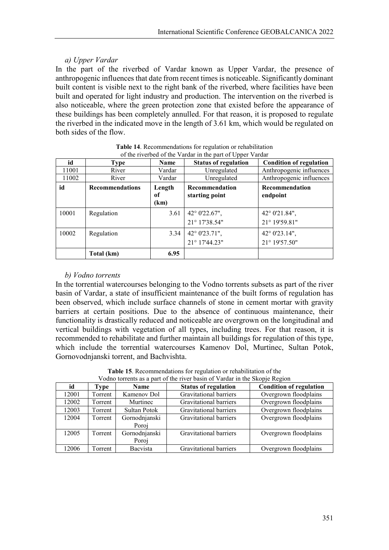## *a) Upper Vardar*

In the part of the riverbed of Vardar known as Upper Vardar, the presence of anthropogenic influences that date from recent times is noticeable. Significantly dominant built content is visible next to the right bank of the riverbed, where facilities have been built and operated for light industry and production. The intervention on the riverbed is also noticeable, where the green protection zone that existed before the appearance of these buildings has been completely annulled. For that reason, it is proposed to regulate the riverbed in the indicated move in the length of 3.61 km, which would be regulated on both sides of the flow.

|       | of the riverbed of the Vardar in the part of Upper Vardar |                      |                                  |                                |  |  |  |  |
|-------|-----------------------------------------------------------|----------------------|----------------------------------|--------------------------------|--|--|--|--|
| id    | <b>Type</b>                                               | <b>Name</b>          | <b>Status of regulation</b>      | <b>Condition of regulation</b> |  |  |  |  |
| 11001 | River                                                     | Vardar               | Unregulated                      | Anthropogenic influences       |  |  |  |  |
| 11002 | River                                                     | Vardar               | Unregulated                      | Anthropogenic influences       |  |  |  |  |
| id    | <b>Recommendations</b>                                    | Length<br>оf<br>(km) | Recommendation<br>starting point | Recommendation<br>endpoint     |  |  |  |  |
| 10001 | Regulation                                                | 3.61                 | 42° 0'22.67",<br>21° 17'38.54"   | 42° 0'21.84",<br>21° 19'59.81" |  |  |  |  |
| 10002 | Regulation                                                | 3.34                 | 42° 0'23.71",<br>21° 17'44.23"   | 42° 0'23.14",<br>21° 19'57.50" |  |  |  |  |
|       | Total (km)                                                | 6.95                 |                                  |                                |  |  |  |  |

| Table 14. Recommendations for regulation or rehabilitation |  |  |
|------------------------------------------------------------|--|--|
| of the riverbed of the Vardar in the part of Upper Vardar  |  |  |

#### *b) Vodno torrents*

In the torrential watercourses belonging to the Vodno torrents subsets as part of the river basin of Vardar, a state of insufficient maintenance of the built forms of regulation has been observed, which include surface channels of stone in cement mortar with gravity barriers at certain positions. Due to the absence of continuous maintenance, their functionality is drastically reduced and noticeable are overgrown on the longitudinal and vertical buildings with vegetation of all types, including trees. For that reason, it is recommended to rehabilitate and further maintain all buildings for regulation of this type, which include the torrential watercourses Kamenov Dol, Murtinec, Sultan Potok, Gornovodnjanski torrent, and Bachvishta.

|       | Vodno torrents as a part of the river basin of Vardar in the Skopje Region |               |                             |                                |  |  |  |
|-------|----------------------------------------------------------------------------|---------------|-----------------------------|--------------------------------|--|--|--|
| id    | Type                                                                       | <b>Name</b>   | <b>Status of regulation</b> | <b>Condition of regulation</b> |  |  |  |
| 12001 | Torrent                                                                    | Kamenov Dol   | Gravitational barriers      | Overgrown floodplains          |  |  |  |
| 12002 | Torrent                                                                    | Murtinec      | Gravitational barriers      | Overgrown floodplains          |  |  |  |
| 12003 | Torrent                                                                    | Sultan Potok  | Gravitational barriers      | Overgrown floodplains          |  |  |  |
| 12004 | Torrent                                                                    | Gornodnjanski | Gravitational barriers      | Overgrown floodplains          |  |  |  |
|       |                                                                            | Poroi         |                             |                                |  |  |  |
| 12005 | Torrent                                                                    | Gornodnjanski | Gravitational barriers      | Overgrown floodplains          |  |  |  |
|       |                                                                            | Poroi         |                             |                                |  |  |  |
| 12006 | Torrent                                                                    | Bacvista      | Gravitational barriers      | Overgrown floodplains          |  |  |  |

**Table 15.** Recommendations for regulation or rehabilitation of the dno torrents as a part of the river basin of Vardar in the Skopie Beg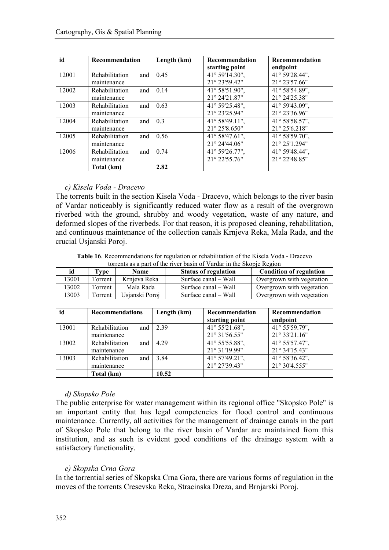| id    | <b>Recommendation</b> | Length (km) | <b>Recommendation</b> | <b>Recommendation</b> |
|-------|-----------------------|-------------|-----------------------|-----------------------|
|       |                       |             | starting point        | endpoint              |
| 12001 | Rehabilitation<br>and | 0.45        | 41° 59'14.30",        | 41° 59'28.44",        |
|       | maintenance           |             | 21° 23'59.42"         | 21° 23'57.66"         |
| 12002 | Rehabilitation<br>and | 0.14        | 41° 58'51.90",        | 41° 58'54.89".        |
|       | maintenance           |             | 21° 24'21.87"         | 21° 24'25.38"         |
| 12003 | Rehabilitation<br>and | 0.63        | 41° 59'25.48",        | 41° 59'43.09",        |
|       | maintenance           |             | 21° 23'25.94"         | 21° 23'36.96"         |
| 12004 | Rehabilitation<br>and | 0.3         | 41° 58'49.11",        | 41° 58' 58.57",       |
|       | maintenance           |             | 21° 25'8.650"         | 21° 25'6.218"         |
| 12005 | Rehabilitation<br>and | 0.56        | 41° 58' 47.61",       | 41° 58'59.70",        |
|       | maintenance           |             | 21° 24'44.06"         | 21° 25'1.294"         |
| 12006 | Rehabilitation<br>and | 0.74        | 41° 59'26.77",        | 41° 59'48.44",        |
|       | maintenance           |             | 21° 22'55.76"         | 21° 22'48.85"         |
|       | Total (km)            | 2.82        |                       |                       |

#### *c) Kisela Voda - Dracevo*

The torrents built in the section Kisela Voda - Dracevo, which belongs to the river basin of Vardar noticeably is significantly reduced water flow as a result of the overgrown riverbed with the ground, shrubby and woody vegetation, waste of any nature, and deformed slopes of the riverbeds. For that reason, it is proposed cleaning, rehabilitation, and continuous maintenance of the collection canals Krnjeva Reka, Mala Rada, and the crucial Usjanski Poroj.

**Table 16**. Recommendations for regulation or rehabilitation of the Kisela Voda - Dracevo torrents as a part of the river basin of Vardar in the Skopje Region

| id    | Type    | <b>Name</b>    | <b>Status of regulation</b> | <b>Condition of regulation</b> |
|-------|---------|----------------|-----------------------------|--------------------------------|
| 3001  | Torrent | Krnieva Reka   | Surface canal – Wall        | Overgrown with vegetation      |
| 13002 | Torrent | Mala Rada      | Surface canal – Wall        | Overgrown with vegetation      |
| 3003  | Torrent | Usianski Poroi | Surface canal – Wall        | Overgrown with vegetation      |

| id    | <b>Recommendations</b>               | Length (km) | Recommendation<br>starting point         | Recommendation<br>endpoint      |
|-------|--------------------------------------|-------------|------------------------------------------|---------------------------------|
| 13001 | Rehabilitation<br>and<br>maintenance | 2.39        | 41° 55'21.68",<br>21° 31'56.55"          | 41° 55'59.79",<br>21° 33'21.16" |
| 13002 | Rehabilitation<br>and<br>maintenance | 4.29        | 41° 55'55.88",<br>21° 31'19.99"          | 41° 55'57.47",<br>21° 34'15.43" |
| 13003 | Rehabilitation<br>and<br>maintenance | 3.84        | 41° 57'49.21",<br>$21^{\circ} 27'39.43"$ | 41° 58'36.42",<br>21° 30'4.555" |
|       | Total (km)                           | 10.52       |                                          |                                 |

#### *d) Skopsko Pole*

The public enterprise for water management within its regional office "Skopsko Pole" is an important entity that has legal competencies for flood control and continuous maintenance. Currently, all activities for the management of drainage canals in the part of Skopsko Pole that belong to the river basin of Vardar are maintained from this institution, and as such is evident good conditions of the drainage system with a satisfactory functionality.

#### *e) Skopska Crna Gora*

In the torrential series of Skopska Crna Gora, there are various forms of regulation in the moves of the torrents Cresevska Reka, Stracinska Dreza, and Brnjarski Poroj.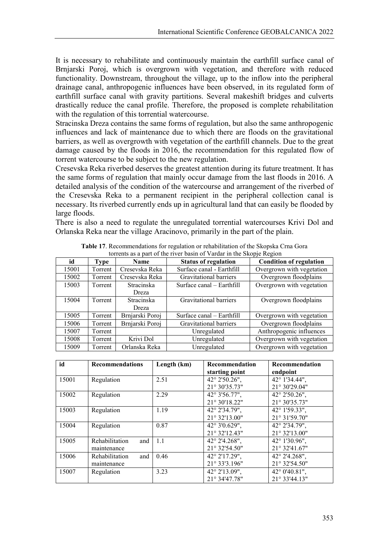It is necessary to rehabilitate and continuously maintain the earthfill surface canal of Brnjarski Poroj, which is overgrown with vegetation, and therefore with reduced functionality. Downstream, throughout the village, up to the inflow into the peripheral drainage canal, anthropogenic influences have been observed, in its regulated form of earthfill surface canal with gravity partitions. Several makeshift bridges and culverts drastically reduce the canal profile. Therefore, the proposed is complete rehabilitation with the regulation of this torrential watercourse.

Stracinska Dreza contains the same forms of regulation, but also the same anthropogenic influences and lack of maintenance due to which there are floods on the gravitational barriers, as well as overgrowth with vegetation of the earthfill channels. Due to the great damage caused by the floods in 2016, the recommendation for this regulated flow of torrent watercourse to be subject to the new regulation.

Cresevska Reka riverbed deserves the greatest attention during its future treatment. It has the same forms of regulation that mainly occur damage from the last floods in 2016. A detailed analysis of the condition of the watercourse and arrangement of the riverbed of the Cresevska Reka to a permanent recipient in the peripheral collection canal is necessary. Its riverbed currently ends up in agricultural land that can easily be flooded by large floods.

There is also a need to regulate the unregulated torrential watercourses Krivi Dol and Orlanska Reka near the village Aracinovo, primarily in the part of the plain.

| id    | <b>Type</b> | <b>Name</b>       | <b>Status of regulation</b> | <b>Condition of regulation</b> |
|-------|-------------|-------------------|-----------------------------|--------------------------------|
| 15001 | Torrent     | Cresevska Reka    | Surface canal - Earthfill   | Overgrown with vegetation      |
| 15002 | Torrent     | Cresevska Reka    | Gravitational barriers      | Overgrown floodplains          |
| 15003 | Torrent     | <b>Stracinska</b> | Surface canal – Earthfill   | Overgrown with vegetation      |
|       |             | Dreza             |                             |                                |
| 15004 | Torrent     | <b>Stracinska</b> | Gravitational barriers      | Overgrown floodplains          |
|       |             | Dreza             |                             |                                |
| 15005 | Torrent     | Brnjarski Poroj   | Surface canal - Earthfill   | Overgrown with vegetation      |
| 15006 | Torrent     | Brnjarski Poroj   | Gravitational barriers      | Overgrown floodplains          |
| 15007 | Torrent     |                   | Unregulated                 | Anthropogenic influences       |
| 15008 | Torrent     | Krivi Dol         | Unregulated                 | Overgrown with vegetation      |
| 15009 | Torrent     | Orlanska Reka     | Unregulated                 | Overgrown with vegetation      |

**Table 17**. Recommendations for regulation or rehabilitation of the Skopska Crna Gora torrents as a part of the river basin of Vardar in the Skopie Region

| id    | <b>Recommendations</b>               | Length (km) | Recommendation<br>starting point        | Recommendation<br>endpoint              |
|-------|--------------------------------------|-------------|-----------------------------------------|-----------------------------------------|
| 15001 | Regulation                           | 2.51        | $42^{\circ}$ 2'50.26".<br>21° 30'35.73" | 42° 1'34.44",<br>$21^{\circ}$ 30'29.04" |
| 15002 | Regulation                           | 2.29        | $42^{\circ}3'56.77"$ ,<br>21° 30'18.22" | 42° 2'50.26",<br>21° 30'35.73"          |
| 15003 | Regulation                           | 1.19        | 42° 2'34.79".<br>21° 32'13.00"          | 42° 1'59.33".<br>21° 31'59.70"          |
| 15004 | Regulation                           | 0.87        | $42^{\circ}3'0.629''.$<br>21° 32'12.43" | 42° 2'34.79".<br>21° 32'13.00"          |
| 15005 | Rehabilitation<br>and<br>maintenance | 1.1         | 42° 2'4.268".<br>21° 32'54.50"          | 42° 1'30.96".<br>$21^{\circ}$ 32'41.67" |
| 15006 | and<br>Rehabilitation<br>maintenance | 0.46        | 42° 2'17.29".<br>21° 33'3.196"          | $42^{\circ}$ 2'4.268",<br>21° 32'54.50" |
| 15007 | Regulation                           | 3.23        | 42° 2'13.09",<br>21° 34'47.78"          | $42^{\circ}$ 0'40.81",<br>21° 33'44.13" |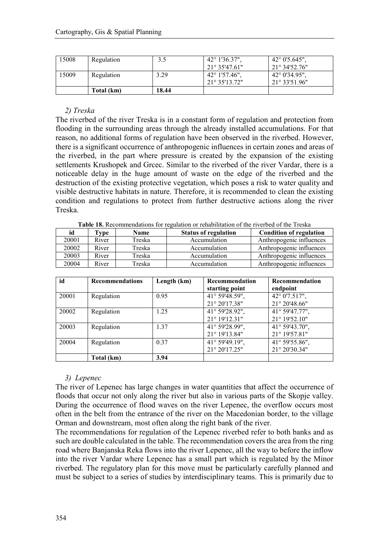| 15008 | Regulation | 3.5   | $42^{\circ}$ 1'36.37". | $42^{\circ}$ 0'5.645". |
|-------|------------|-------|------------------------|------------------------|
|       |            |       | $21^{\circ}35'47.61"$  | $21^{\circ}34'52.76"$  |
| 15009 | Regulation | 3.29  | $42^{\circ}$ 1'57.46", | $42^{\circ}$ 0'34.95", |
|       |            |       | $21^{\circ}35'13.72"$  | $21^{\circ}33'51.96"$  |
|       | Total (km) | 18.44 |                        |                        |

#### *2) Treska*

The riverbed of the river Treska is in a constant form of regulation and protection from flooding in the surrounding areas through the already installed accumulations. For that reason, no additional forms of regulation have been observed in the riverbed. However, there is a significant occurrence of anthropogenic influences in certain zones and areas of the riverbed, in the part where pressure is created by the expansion of the existing settlements Krushopek and Grcec. Similar to the riverbed of the river Vardar, there is a noticeable delay in the huge amount of waste on the edge of the riverbed and the destruction of the existing protective vegetation, which poses a risk to water quality and visible destructive habitats in nature. Therefore, it is recommended to clean the existing condition and regulations to protect from further destructive actions along the river Treska.

**Table 18.** Recommendations for regulation or rehabilitation of the riverbed of the Treska

| id    | Type  | <b>Name</b> | <b>Status of regulation</b> | <b>Condition of regulation</b> |
|-------|-------|-------------|-----------------------------|--------------------------------|
| 20001 | River | Treska      | Accumulation                | Anthropogenic influences       |
| 20002 | River | Treska      | Accumulation                | Anthropogenic influences       |
| 20003 | River | Treska      | Accumulation                | Anthropogenic influences       |
| 20004 | River | Treska      | Accumulation                | Anthropogenic influences       |

| id    | <b>Recommendations</b> | Length (km) | Recommendation<br>starting point | Recommendation<br>endpoint      |
|-------|------------------------|-------------|----------------------------------|---------------------------------|
| 20001 | Regulation             | 0.95        | 41° 59'48.59",<br>21° 20'17.38"  | 42° 0'7.517",<br>21° 20'48.66"  |
| 20002 | Regulation             | 1.25        | 41° 59'28.92",<br>21° 19'12.31"  | 41° 59'47.77",<br>21° 19'52.10" |
| 20003 | Regulation             | 1.37        | 41° 59'28.99",<br>21° 19'13.84"  | 41° 59'43.70",<br>21° 19'57.81" |
| 20004 | Regulation             | 0.37        | 41° 59'49.19",<br>21° 20'17.25"  | 41° 59'55.86",<br>21° 20'30.34" |
|       | Total (km)             | 3.94        |                                  |                                 |

#### *3) Lepenec*

The river of Lepenec has large changes in water quantities that affect the occurrence of floods that occur not only along the river but also in various parts of the Skopje valley. During the occurrence of flood waves on the river Lepenec, the overflow occurs most often in the belt from the entrance of the river on the Macedonian border, to the village Orman and downstream, most often along the right bank of the river.

The recommendations for regulation of the Lepenec riverbed refer to both banks and as such are double calculated in the table. The recommendation covers the area from the ring road where Banjanska Reka flows into the river Lepenec, all the way to before the inflow into the river Vardar where Lepenec has a small part which is regulated by the Minor riverbed. The regulatory plan for this move must be particularly carefully planned and must be subject to a series of studies by interdisciplinary teams. This is primarily due to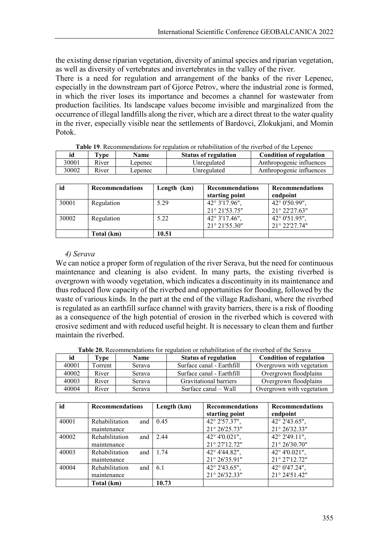the existing dense riparian vegetation, diversity of animal species and riparian vegetation, as well as diversity of vertebrates and invertebrates in the valley of the river.

There is a need for regulation and arrangement of the banks of the river Lepenec, especially in the downstream part of Gjorce Petrov, where the industrial zone is formed, in which the river loses its importance and becomes a channel for wastewater from production facilities. Its landscape values become invisible and marginalized from the occurrence of illegal landfills along the river, which are a direct threat to the water quality in the river, especially visible near the settlements of Bardovci, Zlokukjani, and Momin Potok.

|                                                                                            | <b>Table 19.</b> Recommendations for regulation or rehabilitation of the riverbed of the Lepenec |         |             |                          |  |  |
|--------------------------------------------------------------------------------------------|--------------------------------------------------------------------------------------------------|---------|-------------|--------------------------|--|--|
| id<br>Type<br><b>Condition of regulation</b><br><b>Status of regulation</b><br><b>Name</b> |                                                                                                  |         |             |                          |  |  |
| 30001                                                                                      | River                                                                                            | Lepenec | Unregulated | Anthropogenic influences |  |  |
| 30002                                                                                      | River                                                                                            | Lepenec | Unregulated | Anthropogenic influences |  |  |

| id    | <b>Recommendations</b> | Length (km) | <b>Recommendations</b><br>starting point | <b>Recommendations</b><br>endpoint       |
|-------|------------------------|-------------|------------------------------------------|------------------------------------------|
| 30001 | Regulation             | 5.29        | 42° 3'17.96",<br>21° 21'53.75"           | 42° 0'50.99",<br>$21^{\circ} 22'27.63''$ |
| 30002 | Regulation             | 5.22        | 42° 3'17.46",<br>21° 21'55.30"           | 42° 0'51.95",<br>21° 22'27.74"           |
|       | Total (km)             | 10.51       |                                          |                                          |

#### *4) Serava*

We can notice a proper form of regulation of the river Serava, but the need for continuous maintenance and cleaning is also evident. In many parts, the existing riverbed is overgrown with woody vegetation, which indicates a discontinuity in its maintenance and thus reduced flow capacity of the riverbed and opportunities for flooding, followed by the waste of various kinds. In the part at the end of the village Radishani, where the riverbed is regulated as an earthfill surface channel with gravity barriers, there is a risk of flooding as a consequence of the high potential of erosion in the riverbed which is covered with erosive sediment and with reduced useful height. It is necessary to clean them and further maintain the riverbed.

**Table 20.** Recommendations for regulation or rehabilitation of the riverbed of the Serava

| id    | Type    | <b>Name</b> | <b>Status of regulation</b> | <b>Condition of regulation</b> |
|-------|---------|-------------|-----------------------------|--------------------------------|
| 40001 | Torrent | Serava      | Surface canal - Earthfill   | Overgrown with vegetation      |
| 40002 | River   | Serava      | Surface canal - Earthfill   | Overgrown floodplains          |
| 40003 | River   | Serava      | Gravitational barriers      | Overgrown floodplains          |
| 40004 | River   | Serava      | Surface canal – Wall        | Overgrown with vegetation      |

| id    | <b>Recommendations</b> | Length (km) | <b>Recommendations</b><br>starting point | <b>Recommendations</b><br>endpoint |
|-------|------------------------|-------------|------------------------------------------|------------------------------------|
| 40001 | Rehabilitation<br>and  | 0.45        | 42° 2'57.37",                            | 42° 2'43.65",                      |
|       | maintenance            |             | 21° 26'25.73"                            | 21° 26'32.33"                      |
| 40002 | Rehabilitation<br>and  | 2.44        | 42° 4'0.021",                            | 42° 2'49.11",                      |
|       | maintenance            |             | 21° 27'12.72"                            | $21^{\circ} 26'30.70"$             |
| 40003 | Rehabilitation<br>and  | 1.74        | 42° 4'44.82",                            | 42° 4'0.021",                      |
|       | maintenance            |             | 21° 26'35.91"                            | 21° 27'12.72"                      |
| 40004 | Rehabilitation<br>and  | 6.1         | 42° 2'43.65",                            | 42° 0'47.24",                      |
|       | maintenance            |             | 21° 26'32.33"                            | 21° 24'51.42"                      |
|       | Total (km)             | 10.73       |                                          |                                    |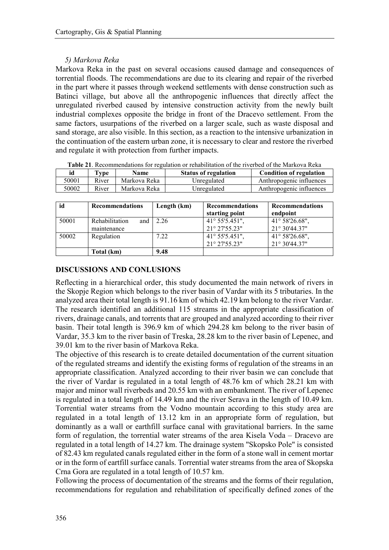## *5) Markova Reka*

Markova Reka in the past on several occasions caused damage and consequences of torrential floods. The recommendations are due to its clearing and repair of the riverbed in the part where it passes through weekend settlements with dense construction such as Batinci village, but above all the anthropogenic influences that directly affect the unregulated riverbed caused by intensive construction activity from the newly built industrial complexes opposite the bridge in front of the Dracevo settlement. From the same factors, usurpations of the riverbed on a larger scale, such as waste disposal and sand storage, are also visible. In this section, as a reaction to the intensive urbanization in the continuation of the eastern urban zone, it is necessary to clear and restore the riverbed and regulate it with protection from further impacts.

| Table 21. Recommendations for regulation or rehabilitation of the riverbed of the Markova Reka |       |              |                             |                                |  |  |  |
|------------------------------------------------------------------------------------------------|-------|--------------|-----------------------------|--------------------------------|--|--|--|
| id                                                                                             | Type  | <b>Name</b>  | <b>Status of regulation</b> | <b>Condition of regulation</b> |  |  |  |
| 50001                                                                                          | River | Markova Reka | Unregulated                 | Anthropogenic influences       |  |  |  |
| 50002                                                                                          | River | Markova Reka | Unregulated                 | Anthropogenic influences       |  |  |  |

| id    | <b>Recommendations</b>                 | Length (km) | <b>Recommendations</b><br>starting point           | <b>Recommendations</b><br>endpoint      |
|-------|----------------------------------------|-------------|----------------------------------------------------|-----------------------------------------|
| 50001 | Rehabilitation<br>and 1<br>maintenance | 2.26        | 41° 55'5.451",<br>$21^{\circ} 27'55.23"$           | 41° 58'26.68",<br>$21^{\circ}30'44.37"$ |
| 50002 | Regulation                             | 7.22        | $41^{\circ}$ 55'5.451",<br>$21^{\circ} 27'55.23''$ | 41° 58'26.68",<br>$21^{\circ}30'44.37"$ |
|       | Total (km)                             | 9.48        |                                                    |                                         |

# **DISCUSSIONS AND CONLUSIONS**

Reflecting in a hierarchical order, this study documented the main network of rivers in the Skopje Region which belongs to the river basin of Vardar with its 5 tributaries. In the analyzed area their total length is 91.16 km of which 42.19 km belong to the river Vardar. The research identified an additional 115 streams in the appropriate classification of rivers, drainage canals, and torrents that are grouped and analyzed according to their river basin. Their total length is 396.9 km of which 294.28 km belong to the river basin of Vardar, 35.3 km to the river basin of Treska, 28.28 km to the river basin of Lepenec, and 39.01 km to the river basin of Markova Reka.

The objective of this research is to create detailed documentation of the current situation of the regulated streams and identify the existing forms of regulation of the streams in an appropriate classification. Analyzed according to their river basin we can conclude that the river of Vardar is regulated in a total length of 48.76 km of which 28.21 km with major and minor wall riverbeds and 20.55 km with an embankment. The river of Lepenec is regulated in a total length of 14.49 km and the river Serava in the length of 10.49 km. Torrential water streams from the Vodno mountain according to this study area are regulated in a total length of 13.12 km in an appropriate form of regulation, but dominantly as a wall or earthfill surface canal with gravitational barriers. In the same form of regulation, the torrential water streams of the area Kisela Voda – Dracevo are regulated in a total length of 14.27 km. The drainage system "Skopsko Pole" is consisted of 82.43 km regulated canals regulated either in the form of a stone wall in cement mortar or in the form of eartfill surface canals. Torrential water streams from the area of Skopska Crna Gora are regulated in a total length of 10.57 km.

Following the process of documentation of the streams and the forms of their regulation, recommendations for regulation and rehabilitation of specifically defined zones of the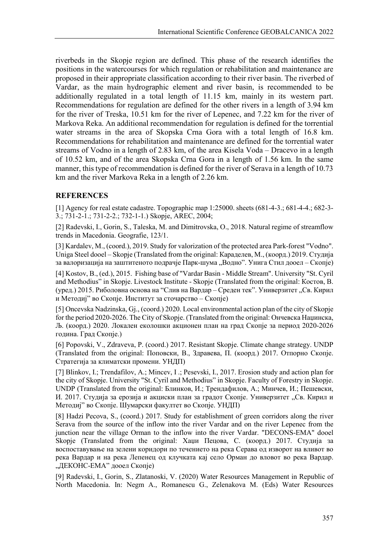riverbeds in the Skopje region are defined. This phase of the research identifies the positions in the watercourses for which regulation or rehabilitation and maintenance are proposed in their appropriate classification according to their river basin. The riverbed of Vardar, as the main hydrographic element and river basin, is recommended to be additionally regulated in a total length of 11.15 km, mainly in its western part. Recommendations for regulation are defined for the other rivers in a length of 3.94 km for the river of Treska, 10.51 km for the river of Lepenec, and 7.22 km for the river of Markova Reka. An additional recommendation for regulation is defined for the torrential water streams in the area of Skopska Crna Gora with a total length of 16.8 km. Recommendations for rehabilitation and maintenance are defined for the torrential water streams of Vodno in a length of 2.83 km, of the area Kisela Voda – Dracevo in a length of 10.52 km, and of the area Skopska Crna Gora in a length of 1.56 km. In the same manner, this type of recommendation is defined for the river of Serava in a length of 10.73 km and the river Markova Reka in a length of 2.26 km.

#### **REFERENCES**

[1] Agency for real estate cadastre. Topographic map 1:25000. sheets (681-4-3.; 681-4-4.; 682-3- 3.; 731-2-1.; 731-2-2.; 732-1-1.) Skopje, AREC, 2004;

[2] Radevski, I., Gorin, S., Taleska, M. and Dimitrovska, O., 2018. Natural regime of streamflow trends in Macedonia. Geografie, 123/1.

[3] Kardalev, M., (coord.), 2019. Study for valorization of the protected area Park-forest "Vodno". Uniga Steel dooel – Skopje (Translated from the original: Караделев, М., (коорд.) 2019. Студија за валоризација на заштитеното подрачје Парк-шума "Водно". Унига Стил дооел – Скопје)

[4] Kostov, B., (ed.), 2015. Fishing base of "Vardar Basin - Middle Stream". University "St. Cyril and Methodius" in Skopje. Livestock Institute - Skopje (Translated from the original: Костов, В. (уред.) 2015. Риболовна основа на "Слив на Вардар – Среден тек". Универзитет "Св. Кирил и Методиј" во Скопје. Институт за сточарство – Скопје)

[5] Oncevska Nadzinska, Gj., (coord.) 2020. Local environmental action plan of the city of Skopje for the period 2020-2026. The City of Skopje. (Translated from the original: Ончевска Наџинска, Љ. (коорд.) 2020. Локален еколошки акционен план на град Скопје за период 2020-2026 година. Град Скопје.)

[6] Popovski, V., Zdraveva, P. (coord.) 2017. Resistant Skopje. Climate change strategy. UNDP (Translated from the original: Поповски, В., Здравева, П. (коорд.) 2017. Отпорно Скопје. Стратегија за климатски промени. УНДП)

[7] Blinkov, I.; Trendafilov, A.; Mincev, I .; Pesevski, I., 2017. Erosion study and action plan for the city of Skopje. University "St. Cyril and Methodius" in Skopje. Faculty of Forestry in Skopje. UNDP (Translated from the original: Блинков, И.; Трендафилов, А.; Минчев, И.; Пешевски, И. 2017. Студија за ерозија и акциски план за градот Скопје. Универзитет "Св. Кирил и Методиј" во Скопје. Шумарски факултет во Скопје. УНДП)

[8] Hadzi Pecova, S., (coord.) 2017. Study for establishment of green corridors along the river Serava from the source of the inflow into the river Vardar and on the river Lepenec from the junction near the village Orman to the inflow into the river Vardar. "DECONS-EMA" dooel Skopje (Translated from the original: Хаџи Пецова, С. (коорд.) 2017. Студија за воспоставување на зелени коридори по течението на река Серава од изворот на вливот во река Вардар и на река Лепенец од клучката кај село Орман до вловот во река Вардар. "ДЕКОНС-ЕМА" дооел Скопје)

[9] Radevski, I., Gorin, S., Zlatanoski, V. (2020) Water Resources Management in Republic of North Macedonia. In: Negm A., Romanescu G., Zelenakova M. (Еds) Water Resources